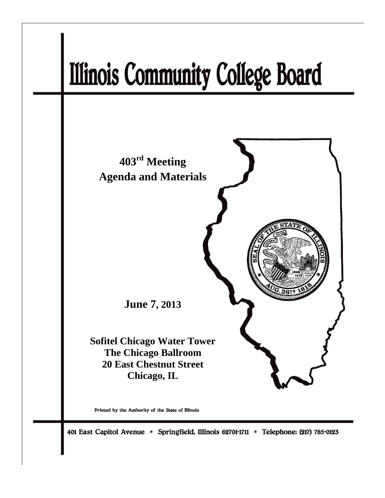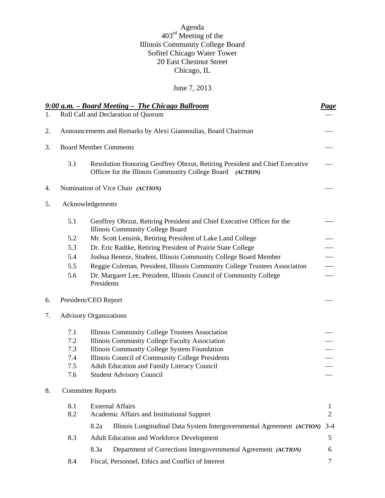## Agenda 403<sup>rd</sup> Meeting of the Illinois Community College Board Sofitel Chicago Water Tower 20 East Chestnut Street Chicago, IL

# June 7, 2013

|    |                                                                | 9:00 a.m. – Board Meeting – The Chicago Ballroom                                                                                            | <b>Page</b>    |  |  |
|----|----------------------------------------------------------------|---------------------------------------------------------------------------------------------------------------------------------------------|----------------|--|--|
| 1. |                                                                | Roll Call and Declaration of Quorum                                                                                                         |                |  |  |
| 2. | Announcements and Remarks by Alexi Giannoulias, Board Chairman |                                                                                                                                             |                |  |  |
| 3. | <b>Board Member Comments</b>                                   |                                                                                                                                             |                |  |  |
|    | 3.1                                                            | Resolution Honoring Geoffrey Obrzut, Retiring President and Chief Executive<br>Officer for the Illinois Community College Board<br>(ACTION) |                |  |  |
| 4. |                                                                | Nomination of Vice Chair (ACTION)                                                                                                           |                |  |  |
| 5. |                                                                | Acknowledgements                                                                                                                            |                |  |  |
|    | 5.1                                                            | Geoffrey Obrzut, Retiring President and Chief Executive Officer for the<br>Illinois Community College Board                                 |                |  |  |
|    | 5.2                                                            | Mr. Scott Lensink, Retiring President of Lake Land College                                                                                  |                |  |  |
|    | 5.3                                                            | Dr. Eric Radtke, Retiring President of Prairie State College                                                                                |                |  |  |
|    | 5.4                                                            | Joshua Beneze, Student, Illinois Community College Board Member                                                                             |                |  |  |
|    | 5.5                                                            | Reggie Coleman, President, Illinois Community College Trustees Association                                                                  |                |  |  |
|    | 5.6                                                            | Dr. Margaret Lee, President, Illinois Council of Community College<br>Presidents                                                            |                |  |  |
| 6. |                                                                | President/CEO Report                                                                                                                        |                |  |  |
| 7. |                                                                | <b>Advisory Organizations</b>                                                                                                               |                |  |  |
|    | 7.1                                                            | Illinois Community College Trustees Association                                                                                             |                |  |  |
|    | 7.2                                                            | Illinois Community College Faculty Association                                                                                              |                |  |  |
|    | 7.3                                                            | Illinois Community College System Foundation                                                                                                |                |  |  |
|    | 7.4                                                            | Illinois Council of Community College Presidents                                                                                            |                |  |  |
|    | 7.5                                                            | Adult Education and Family Literacy Council                                                                                                 |                |  |  |
|    | 7.6                                                            | <b>Student Advisory Council</b>                                                                                                             |                |  |  |
| 8. |                                                                | <b>Committee Reports</b>                                                                                                                    |                |  |  |
|    | 8.1                                                            | <b>External Affairs</b>                                                                                                                     | 1              |  |  |
|    | 8.2                                                            | Academic Affairs and Institutional Support                                                                                                  | $\overline{2}$ |  |  |
|    |                                                                | Illinois Longitudinal Data System Intergovernmental Agreement (ACTION)<br>8.2a                                                              | $3-4$          |  |  |
|    | 8.3                                                            | Adult Education and Workforce Development                                                                                                   | 5              |  |  |
|    |                                                                | Department of Corrections Intergovernmental Agreement (ACTION)<br>8.3a                                                                      | 6              |  |  |
|    | 8.4                                                            | Fiscal, Personnel, Ethics and Conflict of Interest                                                                                          | 7              |  |  |
|    |                                                                |                                                                                                                                             |                |  |  |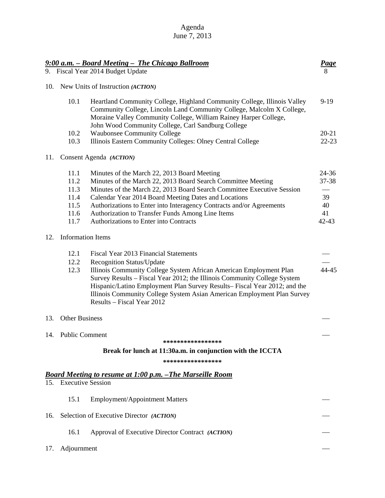| Agenda       |  |  |  |  |
|--------------|--|--|--|--|
| June 7, 2013 |  |  |  |  |

|     |                          | 9:00 a.m. - Board Meeting - The Chicago Ballroom                                                                                                                                                                                                                                                                                                                        |           |
|-----|--------------------------|-------------------------------------------------------------------------------------------------------------------------------------------------------------------------------------------------------------------------------------------------------------------------------------------------------------------------------------------------------------------------|-----------|
|     |                          | 9. Fiscal Year 2014 Budget Update                                                                                                                                                                                                                                                                                                                                       |           |
| 10. |                          | New Units of Instruction (ACTION)                                                                                                                                                                                                                                                                                                                                       |           |
|     | 10.1                     | Heartland Community College, Highland Community College, Illinois Valley<br>Community College, Lincoln Land Community College, Malcolm X College,<br>Moraine Valley Community College, William Rainey Harper College,<br>John Wood Community College, Carl Sandburg College                                                                                             | $9-19$    |
|     | 10.2                     | <b>Waubonsee Community College</b>                                                                                                                                                                                                                                                                                                                                      | $20 - 21$ |
|     | 10.3                     | Illinois Eastern Community Colleges: Olney Central College                                                                                                                                                                                                                                                                                                              | $22 - 23$ |
| 11. |                          | Consent Agenda (ACTION)                                                                                                                                                                                                                                                                                                                                                 |           |
|     | 11.1                     | Minutes of the March 22, 2013 Board Meeting                                                                                                                                                                                                                                                                                                                             | 24-36     |
|     | 11.2                     | Minutes of the March 22, 2013 Board Search Committee Meeting                                                                                                                                                                                                                                                                                                            | 37-38     |
|     | 11.3                     | Minutes of the March 22, 2013 Board Search Committee Executive Session                                                                                                                                                                                                                                                                                                  |           |
|     | 11.4                     | Calendar Year 2014 Board Meeting Dates and Locations                                                                                                                                                                                                                                                                                                                    | 39        |
|     | 11.5                     | Authorizations to Enter into Interagency Contracts and/or Agreements                                                                                                                                                                                                                                                                                                    | 40        |
|     | 11.6                     | Authorization to Transfer Funds Among Line Items                                                                                                                                                                                                                                                                                                                        | 41        |
|     | 11.7                     | Authorizations to Enter into Contracts                                                                                                                                                                                                                                                                                                                                  | $42 - 43$ |
| 12. | <b>Information Items</b> |                                                                                                                                                                                                                                                                                                                                                                         |           |
|     | 12.1                     | Fiscal Year 2013 Financial Statements                                                                                                                                                                                                                                                                                                                                   |           |
|     | 12.2<br>12.3             | <b>Recognition Status/Update</b><br>Illinois Community College System African American Employment Plan<br>Survey Results - Fiscal Year 2012; the Illinois Community College System<br>Hispanic/Latino Employment Plan Survey Results-Fiscal Year 2012; and the<br>Illinois Community College System Asian American Employment Plan Survey<br>Results – Fiscal Year 2012 | 44-45     |
|     | 13. Other Business       |                                                                                                                                                                                                                                                                                                                                                                         |           |
|     | 14. Public Comment       |                                                                                                                                                                                                                                                                                                                                                                         |           |
|     |                          | *****************                                                                                                                                                                                                                                                                                                                                                       |           |
|     |                          | Break for lunch at 11:30a.m. in conjunction with the ICCTA                                                                                                                                                                                                                                                                                                              |           |
|     |                          | *****************                                                                                                                                                                                                                                                                                                                                                       |           |
|     |                          | <u>Board Meeting to resume at 1:00 p.m. – The Marseille Room</u>                                                                                                                                                                                                                                                                                                        |           |
|     | 15. Executive Session    |                                                                                                                                                                                                                                                                                                                                                                         |           |
|     | 15.1                     | <b>Employment/Appointment Matters</b>                                                                                                                                                                                                                                                                                                                                   |           |
| 16. |                          | Selection of Executive Director (ACTION)                                                                                                                                                                                                                                                                                                                                |           |
|     | 16.1                     | Approval of Executive Director Contract (ACTION)                                                                                                                                                                                                                                                                                                                        |           |
| 17. | Adjournment              |                                                                                                                                                                                                                                                                                                                                                                         |           |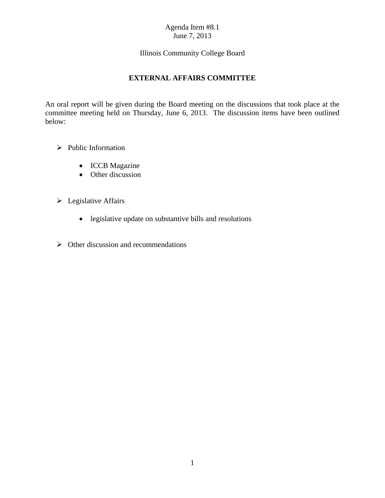## Illinois Community College Board

# **EXTERNAL AFFAIRS COMMITTEE**

An oral report will be given during the Board meeting on the discussions that took place at the committee meeting held on Thursday, June 6, 2013. The discussion items have been outlined below:

- $\triangleright$  Public Information
	- ICCB Magazine
	- Other discussion
- $\triangleright$  Legislative Affairs
	- legislative update on substantive bills and resolutions
- $\triangleright$  Other discussion and recommendations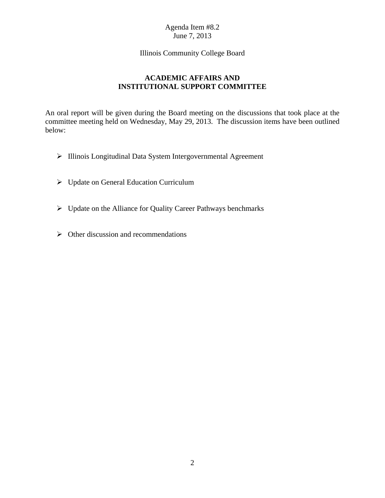### Agenda Item #8.2 June 7, 2013

### Illinois Community College Board

# **ACADEMIC AFFAIRS AND INSTITUTIONAL SUPPORT COMMITTEE**

An oral report will be given during the Board meeting on the discussions that took place at the committee meeting held on Wednesday, May 29, 2013. The discussion items have been outlined below:

- > Illinois Longitudinal Data System Intergovernmental Agreement
- Update on General Education Curriculum
- Update on the Alliance for Quality Career Pathways benchmarks
- $\triangleright$  Other discussion and recommendations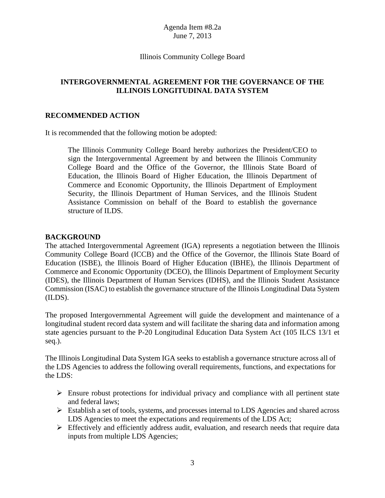### Agenda Item #8.2a June 7, 2013

### Illinois Community College Board

## **INTERGOVERNMENTAL AGREEMENT FOR THE GOVERNANCE OF THE ILLINOIS LONGITUDINAL DATA SYSTEM**

### **RECOMMENDED ACTION**

It is recommended that the following motion be adopted:

The Illinois Community College Board hereby authorizes the President/CEO to sign the Intergovernmental Agreement by and between the Illinois Community College Board and the Office of the Governor, the Illinois State Board of Education, the Illinois Board of Higher Education, the Illinois Department of Commerce and Economic Opportunity, the Illinois Department of Employment Security, the Illinois Department of Human Services, and the Illinois Student Assistance Commission on behalf of the Board to establish the governance structure of ILDS.

## **BACKGROUND**

The attached Intergovernmental Agreement (IGA) represents a negotiation between the Illinois Community College Board (ICCB) and the Office of the Governor, the Illinois State Board of Education (ISBE), the Illinois Board of Higher Education (IBHE), the Illinois Department of Commerce and Economic Opportunity (DCEO), the Illinois Department of Employment Security (IDES), the Illinois Department of Human Services (IDHS), and the Illinois Student Assistance Commission (ISAC) to establish the governance structure of the Illinois Longitudinal Data System (ILDS).

The proposed Intergovernmental Agreement will guide the development and maintenance of a longitudinal student record data system and will facilitate the sharing data and information among state agencies pursuant to the P-20 Longitudinal Education Data System Act (105 ILCS 13/1 et seq.).

The Illinois Longitudinal Data System IGA seeks to establish a governance structure across all of the LDS Agencies to address the following overall requirements, functions, and expectations for the LDS:

- $\triangleright$  Ensure robust protections for individual privacy and compliance with all pertinent state and federal laws;
- Establish a set of tools, systems, and processes internal to LDS Agencies and shared across LDS Agencies to meet the expectations and requirements of the LDS Act;
- $\triangleright$  Effectively and efficiently address audit, evaluation, and research needs that require data inputs from multiple LDS Agencies;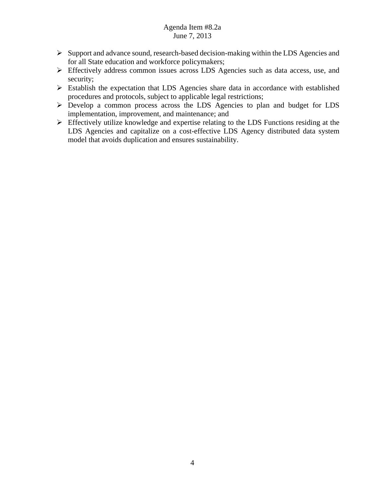- $\triangleright$  Support and advance sound, research-based decision-making within the LDS Agencies and for all State education and workforce policymakers;
- Effectively address common issues across LDS Agencies such as data access, use, and security;
- Establish the expectation that LDS Agencies share data in accordance with established procedures and protocols, subject to applicable legal restrictions;
- Develop a common process across the LDS Agencies to plan and budget for LDS implementation, improvement, and maintenance; and
- Effectively utilize knowledge and expertise relating to the LDS Functions residing at the LDS Agencies and capitalize on a cost-effective LDS Agency distributed data system model that avoids duplication and ensures sustainability.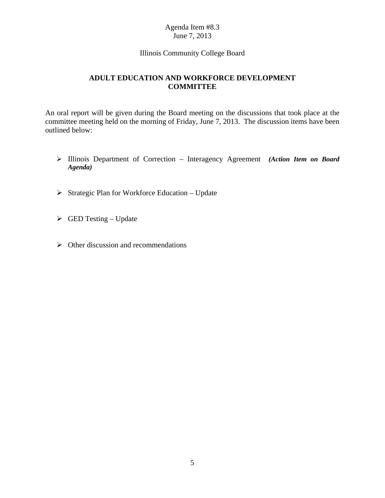### Agenda Item #8.3 June 7, 2013

#### Illinois Community College Board

## **ADULT EDUCATION AND WORKFORCE DEVELOPMENT COMMITTEE**

An oral report will be given during the Board meeting on the discussions that took place at the committee meeting held on the morning of Friday, June 7, 2013. The discussion items have been outlined below:

- Illinois Department of Correction Interagency Agreement *(Action Item on Board Agenda)*
- $\triangleright$  Strategic Plan for Workforce Education Update
- $\triangleright$  GED Testing Update
- $\triangleright$  Other discussion and recommendations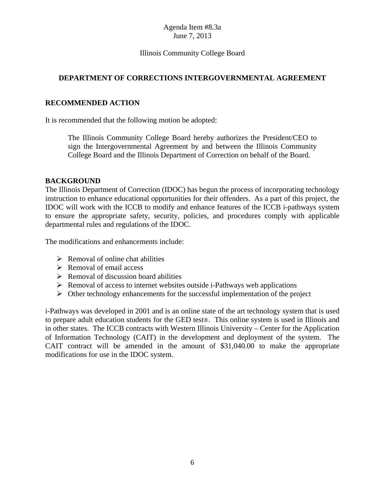## Agenda Item #8.3a June 7, 2013

## Illinois Community College Board

## **DEPARTMENT OF CORRECTIONS INTERGOVERNMENTAL AGREEMENT**

## **RECOMMENDED ACTION**

It is recommended that the following motion be adopted:

The Illinois Community College Board hereby authorizes the President/CEO to sign the Intergovernmental Agreement by and between the Illinois Community College Board and the Illinois Department of Correction on behalf of the Board.

#### **BACKGROUND**

The Illinois Department of Correction (IDOC) has begun the process of incorporating technology instruction to enhance educational opportunities for their offenders. As a part of this project, the IDOC will work with the ICCB to modify and enhance features of the ICCB i-pathways system to ensure the appropriate safety, security, policies, and procedures comply with applicable departmental rules and regulations of the IDOC.

The modifications and enhancements include:

- $\triangleright$  Removal of online chat abilities
- $\triangleright$  Removal of email access
- $\triangleright$  Removal of discussion board abilities
- $\triangleright$  Removal of access to internet websites outside i-Pathways web applications
- $\triangleright$  Other technology enhancements for the successful implementation of the project

i-Pathways was developed in 2001 and is an online state of the art technology system that is used to prepare adult education students for the GED test®. This online system is used in Illinois and in other states. The ICCB contracts with Western Illinois University – Center for the Application of Information Technology (CAIT) in the development and deployment of the system. The CAIT contract will be amended in the amount of \$31,040.00 to make the appropriate modifications for use in the IDOC system.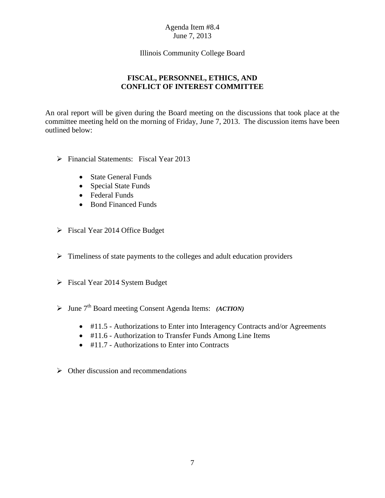### Agenda Item #8.4 June 7, 2013

## Illinois Community College Board

# **FISCAL, PERSONNEL, ETHICS, AND CONFLICT OF INTEREST COMMITTEE**

An oral report will be given during the Board meeting on the discussions that took place at the committee meeting held on the morning of Friday, June 7, 2013. The discussion items have been outlined below:

- Financial Statements: Fiscal Year 2013
	- State General Funds
	- Special State Funds
	- Federal Funds
	- Bond Financed Funds
- Fiscal Year 2014 Office Budget
- $\triangleright$  Timeliness of state payments to the colleges and adult education providers
- $\triangleright$  Fiscal Year 2014 System Budget
- > June 7<sup>th</sup> Board meeting Consent Agenda Items: *(ACTION)* 
	- #11.5 Authorizations to Enter into Interagency Contracts and/or Agreements
	- #11.6 Authorization to Transfer Funds Among Line Items
	- $\bullet$  #11.7 Authorizations to Enter into Contracts
- $\triangleright$  Other discussion and recommendations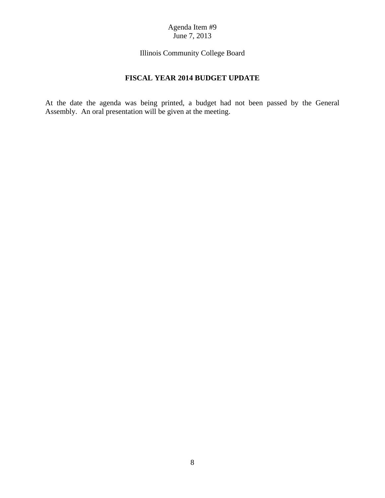### Agenda Item #9 June 7, 2013

Illinois Community College Board

# **FISCAL YEAR 2014 BUDGET UPDATE**

At the date the agenda was being printed, a budget had not been passed by the General Assembly. An oral presentation will be given at the meeting.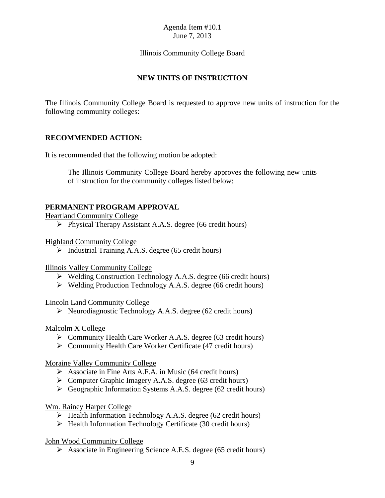## Illinois Community College Board

# **NEW UNITS OF INSTRUCTION**

The Illinois Community College Board is requested to approve new units of instruction for the following community colleges:

### **RECOMMENDED ACTION:**

It is recommended that the following motion be adopted:

The Illinois Community College Board hereby approves the following new units of instruction for the community colleges listed below:

### **PERMANENT PROGRAM APPROVAL**

#### Heartland Community College

 $\triangleright$  Physical Therapy Assistant A.A.S. degree (66 credit hours)

Highland Community College

 $\triangleright$  Industrial Training A.A.S. degree (65 credit hours)

Illinois Valley Community College

- Welding Construction Technology A.A.S. degree (66 credit hours)
- $\triangleright$  Welding Production Technology A.A.S. degree (66 credit hours)

#### Lincoln Land Community College

 $\triangleright$  Neurodiagnostic Technology A.A.S. degree (62 credit hours)

### Malcolm X College

- Community Health Care Worker A.A.S. degree (63 credit hours)
- $\triangleright$  Community Health Care Worker Certificate (47 credit hours)

### Moraine Valley Community College

- $\triangleright$  Associate in Fine Arts A.F.A. in Music (64 credit hours)
- Computer Graphic Imagery A.A.S. degree (63 credit hours)
- $\triangleright$  Geographic Information Systems A.A.S. degree (62 credit hours)

### Wm. Rainey Harper College

- $\triangleright$  Health Information Technology A.A.S. degree (62 credit hours)
- $\triangleright$  Health Information Technology Certificate (30 credit hours)

### John Wood Community College

Associate in Engineering Science A.E.S. degree (65 credit hours)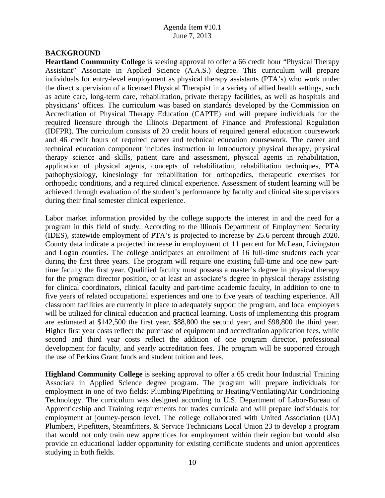### **BACKGROUND**

**Heartland Community College** is seeking approval to offer a 66 credit hour "Physical Therapy Assistant" Associate in Applied Science (A.A.S.) degree. This curriculum will prepare individuals for entry-level employment as physical therapy assistants (PTA's) who work under the direct supervision of a licensed Physical Therapist in a variety of allied health settings, such as acute care, long-term care, rehabilitation, private therapy facilities, as well as hospitals and physicians' offices. The curriculum was based on standards developed by the Commission on Accreditation of Physical Therapy Education (CAPTE) and will prepare individuals for the required licensure through the Illinois Department of Finance and Professional Regulation (IDFPR). The curriculum consists of 20 credit hours of required general education coursework and 46 credit hours of required career and technical education coursework. The career and technical education component includes instruction in introductory physical therapy, physical therapy science and skills, patient care and assessment, physical agents in rehabilitation, application of physical agents, concepts of rehabilitation, rehabilitation techniques, PTA pathophysiology, kinesiology for rehabilitation for orthopedics, therapeutic exercises for orthopedic conditions, and a required clinical experience. Assessment of student learning will be achieved through evaluation of the student's performance by faculty and clinical site supervisors during their final semester clinical experience.

Labor market information provided by the college supports the interest in and the need for a program in this field of study. According to the Illinois Department of Employment Security (IDES), statewide employment of PTA's is projected to increase by 25.6 percent through 2020. County data indicate a projected increase in employment of 11 percent for McLean, Livingston and Logan counties. The college anticipates an enrollment of 16 full-time students each year during the first three years. The program will require one existing full-time and one new parttime faculty the first year. Qualified faculty must possess a master's degree in physical therapy for the program director position, or at least an associate's degree in physical therapy assisting for clinical coordinators, clinical faculty and part-time academic faculty, in addition to one to five years of related occupational experiences and one to five years of teaching experience. All classroom facilities are currently in place to adequately support the program, and local employers will be utilized for clinical education and practical learning. Costs of implementing this program are estimated at \$142,500 the first year, \$88,800 the second year, and \$98,800 the third year. Higher first year costs reflect the purchase of equipment and accreditation application fees, while second and third year costs reflect the addition of one program director, professional development for faculty, and yearly accreditation fees. The program will be supported through the use of Perkins Grant funds and student tuition and fees.

**Highland Community College** is seeking approval to offer a 65 credit hour Industrial Training Associate in Applied Science degree program. The program will prepare individuals for employment in one of two fields: Plumbing/Pipefitting or Heating/Ventilating/Air Conditioning Technology. The curriculum was designed according to U.S. Department of Labor-Bureau of Apprenticeship and Training requirements for trades curricula and will prepare individuals for employment at journey-person level. The college collaborated with United Association (UA) Plumbers, Pipefitters, Steamfitters, & Service Technicians Local Union 23 to develop a program that would not only train new apprentices for employment within their region but would also provide an educational ladder opportunity for existing certificate students and union apprentices studying in both fields.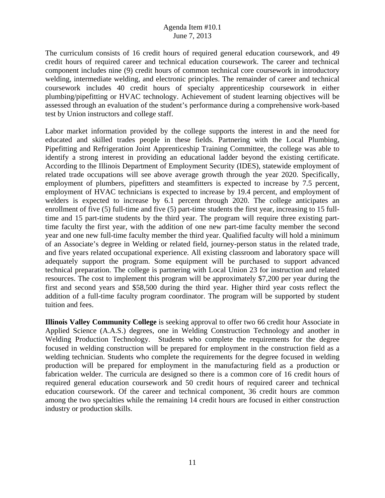The curriculum consists of 16 credit hours of required general education coursework, and 49 credit hours of required career and technical education coursework. The career and technical component includes nine (9) credit hours of common technical core coursework in introductory welding, intermediate welding, and electronic principles. The remainder of career and technical coursework includes 40 credit hours of specialty apprenticeship coursework in either plumbing/pipefitting or HVAC technology. Achievement of student learning objectives will be assessed through an evaluation of the student's performance during a comprehensive work-based test by Union instructors and college staff.

Labor market information provided by the college supports the interest in and the need for educated and skilled trades people in these fields. Partnering with the Local Plumbing, Pipefitting and Refrigeration Joint Apprenticeship Training Committee, the college was able to identify a strong interest in providing an educational ladder beyond the existing certificate. According to the Illinois Department of Employment Security (IDES), statewide employment of related trade occupations will see above average growth through the year 2020. Specifically, employment of plumbers, pipefitters and steamfitters is expected to increase by 7.5 percent, employment of HVAC technicians is expected to increase by 19.4 percent, and employment of welders is expected to increase by 6.1 percent through 2020. The college anticipates an enrollment of five (5) full-time and five (5) part-time students the first year, increasing to 15 fulltime and 15 part-time students by the third year. The program will require three existing parttime faculty the first year, with the addition of one new part-time faculty member the second year and one new full-time faculty member the third year. Qualified faculty will hold a minimum of an Associate's degree in Welding or related field, journey-person status in the related trade, and five years related occupational experience. All existing classroom and laboratory space will adequately support the program. Some equipment will be purchased to support advanced technical preparation. The college is partnering with Local Union 23 for instruction and related resources. The cost to implement this program will be approximately \$7,200 per year during the first and second years and \$58,500 during the third year. Higher third year costs reflect the addition of a full-time faculty program coordinator. The program will be supported by student tuition and fees.

**Illinois Valley Community College** is seeking approval to offer two 66 credit hour Associate in Applied Science (A.A.S.) degrees, one in Welding Construction Technology and another in Welding Production Technology. Students who complete the requirements for the degree focused in welding construction will be prepared for employment in the construction field as a welding technician. Students who complete the requirements for the degree focused in welding production will be prepared for employment in the manufacturing field as a production or fabrication welder. The curricula are designed so there is a common core of 16 credit hours of required general education coursework and 50 credit hours of required career and technical education coursework. Of the career and technical component, 36 credit hours are common among the two specialties while the remaining 14 credit hours are focused in either construction industry or production skills.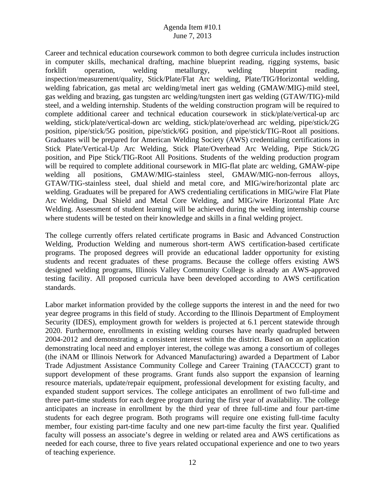Career and technical education coursework common to both degree curricula includes instruction in computer skills, mechanical drafting, machine blueprint reading, rigging systems, basic forklift operation, welding metallurgy, welding blueprint reading, inspection/measurement/quality, Stick/Plate/Flat Arc welding, Plate/TIG/Horizontal welding, welding fabrication, gas metal arc welding/metal inert gas welding (GMAW/MIG)-mild steel, gas welding and brazing, gas tungsten arc welding/tungsten inert gas welding (GTAW/TIG)-mild steel, and a welding internship. Students of the welding construction program will be required to complete additional career and technical education coursework in stick/plate/vertical-up arc welding, stick/plate/vertical-down arc welding, stick/plate/overhead arc welding, pipe/stick/2G position, pipe/stick/5G position, pipe/stick/6G position, and pipe/stick/TIG-Root all positions. Graduates will be prepared for American Welding Society (AWS) credentialing certifications in Stick Plate/Vertical-Up Arc Welding, Stick Plate/Overhead Arc Welding, Pipe Stick/2G position, and Pipe Stick/TIG-Root All Positions. Students of the welding production program will be required to complete additional coursework in MIG-flat plate arc welding, GMAW-pipe welding all positions, GMAW/MIG-stainless steel, GMAW/MIG-non-ferrous alloys, GTAW/TIG-stainless steel, dual shield and metal core, and MIG/wire/horizontal plate arc welding. Graduates will be prepared for AWS credentialing certifications in MIG/wire Flat Plate Arc Welding, Dual Shield and Metal Core Welding, and MIG/wire Horizontal Plate Arc Welding. Assessment of student learning will be achieved during the welding internship course where students will be tested on their knowledge and skills in a final welding project.

The college currently offers related certificate programs in Basic and Advanced Construction Welding, Production Welding and numerous short-term AWS certification-based certificate programs. The proposed degrees will provide an educational ladder opportunity for existing students and recent graduates of these programs. Because the college offers existing AWS designed welding programs, Illinois Valley Community College is already an AWS-approved testing facility. All proposed curricula have been developed according to AWS certification standards.

Labor market information provided by the college supports the interest in and the need for two year degree programs in this field of study. According to the Illinois Department of Employment Security (IDES), employment growth for welders is projected at 6.1 percent statewide through 2020. Furthermore, enrollments in existing welding courses have nearly quadrupled between 2004-2012 and demonstrating a consistent interest within the district. Based on an application demonstrating local need and employer interest, the college was among a consortium of colleges (the iNAM or Illinois Network for Advanced Manufacturing) awarded a Department of Labor Trade Adjustment Assistance Community College and Career Training (TAACCCT) grant to support development of these programs. Grant funds also support the expansion of learning resource materials, update/repair equipment, professional development for existing faculty, and expanded student support services. The college anticipates an enrollment of two full-time and three part-time students for each degree program during the first year of availability. The college anticipates an increase in enrollment by the third year of three full-time and four part-time students for each degree program. Both programs will require one existing full-time faculty member, four existing part-time faculty and one new part-time faculty the first year. Qualified faculty will possess an associate's degree in welding or related area and AWS certifications as needed for each course, three to five years related occupational experience and one to two years of teaching experience.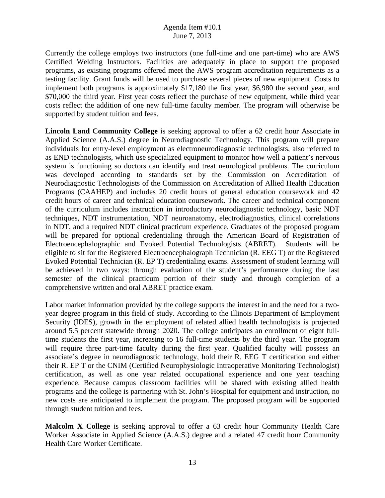Currently the college employs two instructors (one full-time and one part-time) who are AWS Certified Welding Instructors. Facilities are adequately in place to support the proposed programs, as existing programs offered meet the AWS program accreditation requirements as a testing facility. Grant funds will be used to purchase several pieces of new equipment. Costs to implement both programs is approximately \$17,180 the first year, \$6,980 the second year, and \$70,000 the third year. First year costs reflect the purchase of new equipment, while third year costs reflect the addition of one new full-time faculty member. The program will otherwise be supported by student tuition and fees.

**Lincoln Land Community College** is seeking approval to offer a 62 credit hour Associate in Applied Science (A.A.S.) degree in Neurodiagnostic Technology. This program will prepare individuals for entry-level employment as electroneurodiagnostic technologists, also referred to as END technologists, which use specialized equipment to monitor how well a patient's nervous system is functioning so doctors can identify and treat neurological problems. The curriculum was developed according to standards set by the Commission on Accreditation of Neurodiagnostic Technologists of the Commission on Accreditation of Allied Health Education Programs (CAAHEP) and includes 20 credit hours of general education coursework and 42 credit hours of career and technical education coursework. The career and technical component of the curriculum includes instruction in introductory neurodiagnostic technology, basic NDT techniques, NDT instrumentation, NDT neuroanatomy, electrodiagnostics, clinical correlations in NDT, and a required NDT clinical practicum experience. Graduates of the proposed program will be prepared for optional credentialing through the American Board of Registration of Electroencephalographic and Evoked Potential Technologists (ABRET). Students will be eligible to sit for the Registered Electroencephalograph Technician (R. EEG T) or the Registered Evoked Potential Technician (R. EP T) credentialing exams. Assessment of student learning will be achieved in two ways: through evaluation of the student's performance during the last semester of the clinical practicum portion of their study and through completion of a comprehensive written and oral ABRET practice exam.

Labor market information provided by the college supports the interest in and the need for a twoyear degree program in this field of study. According to the Illinois Department of Employment Security (IDES), growth in the employment of related allied health technologists is projected around 5.5 percent statewide through 2020. The college anticipates an enrollment of eight fulltime students the first year, increasing to 16 full-time students by the third year. The program will require three part-time faculty during the first year. Qualified faculty will possess an associate's degree in neurodiagnostic technology, hold their R. EEG T certification and either their R. EP T or the CNIM (Certified Neurophysiologic Intraoperative Monitoring Technologist) certification, as well as one year related occupational experience and one year teaching experience. Because campus classroom facilities will be shared with existing allied health programs and the college is partnering with St. John's Hospital for equipment and instruction, no new costs are anticipated to implement the program. The proposed program will be supported through student tuition and fees.

**Malcolm X College** is seeking approval to offer a 63 credit hour Community Health Care Worker Associate in Applied Science (A.A.S.) degree and a related 47 credit hour Community Health Care Worker Certificate.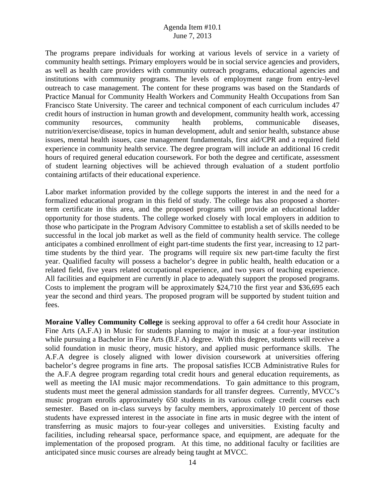The programs prepare individuals for working at various levels of service in a variety of community health settings. Primary employers would be in social service agencies and providers, as well as health care providers with community outreach programs, educational agencies and institutions with community programs. The levels of employment range from entry-level outreach to case management. The content for these programs was based on the Standards of Practice Manual for Community Health Workers and Community Health Occupations from San Francisco State University. The career and technical component of each curriculum includes 47 credit hours of instruction in human growth and development, community health work, accessing community resources, community health problems, communicable diseases, nutrition/exercise/disease, topics in human development, adult and senior health, substance abuse issues, mental health issues, case management fundamentals, first aid/CPR and a required field experience in community health service. The degree program will include an additional 16 credit hours of required general education coursework. For both the degree and certificate, assessment of student learning objectives will be achieved through evaluation of a student portfolio containing artifacts of their educational experience.

Labor market information provided by the college supports the interest in and the need for a formalized educational program in this field of study. The college has also proposed a shorterterm certificate in this area, and the proposed programs will provide an educational ladder opportunity for those students. The college worked closely with local employers in addition to those who participate in the Program Advisory Committee to establish a set of skills needed to be successful in the local job market as well as the field of community health service. The college anticipates a combined enrollment of eight part-time students the first year, increasing to 12 parttime students by the third year. The programs will require six new part-time faculty the first year. Qualified faculty will possess a bachelor's degree in public health, health education or a related field, five years related occupational experience, and two years of teaching experience. All facilities and equipment are currently in place to adequately support the proposed programs. Costs to implement the program will be approximately \$24,710 the first year and \$36,695 each year the second and third years. The proposed program will be supported by student tuition and fees.

**Moraine Valley Community College** is seeking approval to offer a 64 credit hour Associate in Fine Arts (A.F.A) in Music for students planning to major in music at a four-year institution while pursuing a Bachelor in Fine Arts (B.F.A) degree. With this degree, students will receive a solid foundation in music theory, music history, and applied music performance skills. The A.F.A degree is closely aligned with lower division coursework at universities offering bachelor's degree programs in fine arts. The proposal satisfies ICCB Administrative Rules for the A.F.A degree program regarding total credit hours and general education requirements, as well as meeting the IAI music major recommendations. To gain admittance to this program, students must meet the general admission standards for all transfer degrees. Currently, MVCC's music program enrolls approximately 650 students in its various college credit courses each semester. Based on in-class surveys by faculty members, approximately 10 percent of those students have expressed interest in the associate in fine arts in music degree with the intent of transferring as music majors to four-year colleges and universities. Existing faculty and facilities, including rehearsal space, performance space, and equipment, are adequate for the implementation of the proposed program. At this time, no additional faculty or facilities are anticipated since music courses are already being taught at MVCC.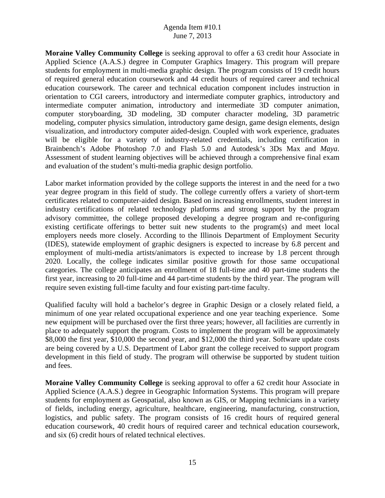**Moraine Valley Community College** is seeking approval to offer a 63 credit hour Associate in Applied Science (A.A.S.) degree in Computer Graphics Imagery. This program will prepare students for employment in multi-media graphic design. The program consists of 19 credit hours of required general education coursework and 44 credit hours of required career and technical education coursework. The career and technical education component includes instruction in orientation to CGI careers, introductory and intermediate computer graphics, introductory and intermediate computer animation, introductory and intermediate 3D computer animation, computer storyboarding, 3D modeling, 3D computer character modeling, 3D parametric modeling, computer physics simulation, introductory game design, game design elements, design visualization, and introductory computer aided-design. Coupled with work experience, graduates will be eligible for a variety of industry-related credentials, including certification in Brainbench's Adobe Photoshop 7.0 and Flash 5.0 and Autodesk's 3Ds Max and *Maya*. Assessment of student learning objectives will be achieved through a comprehensive final exam and evaluation of the student's multi-media graphic design portfolio.

Labor market information provided by the college supports the interest in and the need for a two year degree program in this field of study. The college currently offers a variety of short-term certificates related to computer-aided design. Based on increasing enrollments, student interest in industry certifications of related technology platforms and strong support by the program advisory committee, the college proposed developing a degree program and re-configuring existing certificate offerings to better suit new students to the program(s) and meet local employers needs more closely. According to the Illinois Department of Employment Security (IDES), statewide employment of graphic designers is expected to increase by 6.8 percent and employment of multi-media artists/animators is expected to increase by 1.8 percent through 2020. Locally, the college indicates similar positive growth for those same occupational categories. The college anticipates an enrollment of 18 full-time and 40 part-time students the first year, increasing to 20 full-time and 44 part-time students by the third year. The program will require seven existing full-time faculty and four existing part-time faculty.

Qualified faculty will hold a bachelor's degree in Graphic Design or a closely related field, a minimum of one year related occupational experience and one year teaching experience. Some new equipment will be purchased over the first three years; however, all facilities are currently in place to adequately support the program. Costs to implement the program will be approximately \$8,000 the first year, \$10,000 the second year, and \$12,000 the third year. Software update costs are being covered by a U.S. Department of Labor grant the college received to support program development in this field of study. The program will otherwise be supported by student tuition and fees.

**Moraine Valley Community College** is seeking approval to offer a 62 credit hour Associate in Applied Science (A.A.S.) degree in Geographic Information Systems. This program will prepare students for employment as Geospatial, also known as GIS, or Mapping technicians in a variety of fields, including energy, agriculture, healthcare, engineering, manufacturing, construction, logistics, and public safety. The program consists of 16 credit hours of required general education coursework, 40 credit hours of required career and technical education coursework, and six (6) credit hours of related technical electives.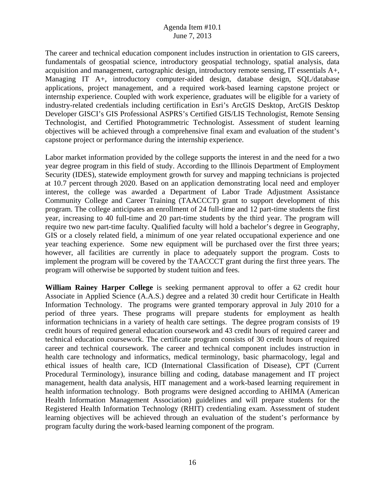The career and technical education component includes instruction in orientation to GIS careers, fundamentals of geospatial science, introductory geospatial technology, spatial analysis, data acquisition and management, cartographic design, introductory remote sensing, IT essentials A+, Managing IT A+, introductory computer-aided design, database design, SQL/database applications, project management, and a required work-based learning capstone project or internship experience. Coupled with work experience, graduates will be eligible for a variety of industry-related credentials including certification in Esri's ArcGIS Desktop, ArcGIS Desktop Developer GISCI's GIS Professional ASPRS's Certified GIS/LIS Technologist, Remote Sensing Technologist, and Certified Photogrammetric Technologist. Assessment of student learning objectives will be achieved through a comprehensive final exam and evaluation of the student's capstone project or performance during the internship experience.

Labor market information provided by the college supports the interest in and the need for a two year degree program in this field of study. According to the Illinois Department of Employment Security (IDES), statewide employment growth for survey and mapping technicians is projected at 10.7 percent through 2020. Based on an application demonstrating local need and employer interest, the college was awarded a Department of Labor Trade Adjustment Assistance Community College and Career Training (TAACCCT) grant to support development of this program. The college anticipates an enrollment of 24 full-time and 12 part-time students the first year, increasing to 40 full-time and 20 part-time students by the third year. The program will require two new part-time faculty. Qualified faculty will hold a bachelor's degree in Geography, GIS or a closely related field, a minimum of one year related occupational experience and one year teaching experience. Some new equipment will be purchased over the first three years; however, all facilities are currently in place to adequately support the program. Costs to implement the program will be covered by the TAACCCT grant during the first three years. The program will otherwise be supported by student tuition and fees.

**William Rainey Harper College** is seeking permanent approval to offer a 62 credit hour Associate in Applied Science (A.A.S.) degree and a related 30 credit hour Certificate in Health Information Technology. The programs were granted temporary approval in July 2010 for a period of three years. These programs will prepare students for employment as health information technicians in a variety of health care settings. The degree program consists of 19 credit hours of required general education coursework and 43 credit hours of required career and technical education coursework. The certificate program consists of 30 credit hours of required career and technical coursework. The career and technical component includes instruction in health care technology and informatics, medical terminology, basic pharmacology, legal and ethical issues of health care, ICD (International Classification of Disease), CPT (Current Procedural Terminology), insurance billing and coding, database management and IT project management, health data analysis, HIT management and a work-based learning requirement in health information technology. Both programs were designed according to AHIMA (American Health Information Management Association) guidelines and will prepare students for the Registered Health Information Technology (RHIT) credentialing exam. Assessment of student learning objectives will be achieved through an evaluation of the student's performance by program faculty during the work-based learning component of the program.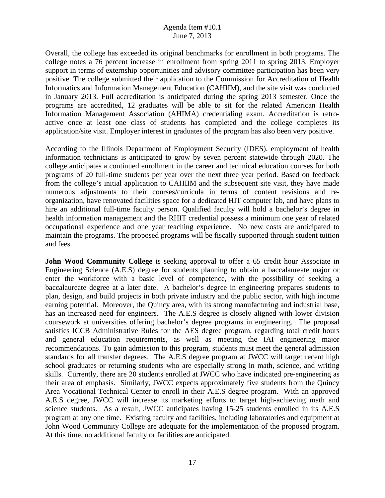Overall, the college has exceeded its original benchmarks for enrollment in both programs. The college notes a 76 percent increase in enrollment from spring 2011 to spring 2013. Employer support in terms of externship opportunities and advisory committee participation has been very positive. The college submitted their application to the Commission for Accreditation of Health Informatics and Information Management Education (CAHIIM), and the site visit was conducted in January 2013. Full accreditation is anticipated during the spring 2013 semester. Once the programs are accredited, 12 graduates will be able to sit for the related American Health Information Management Association (AHIMA) credentialing exam. Accreditation is retroactive once at least one class of students has completed and the college completes its application/site visit. Employer interest in graduates of the program has also been very positive.

According to the Illinois Department of Employment Security (IDES), employment of health information technicians is anticipated to grow by seven percent statewide through 2020. The college anticipates a continued enrollment in the career and technical education courses for both programs of 20 full-time students per year over the next three year period. Based on feedback from the college's initial application to CAHIIM and the subsequent site visit, they have made numerous adjustments to their courses/curricula in terms of content revisions and reorganization, have renovated facilities space for a dedicated HIT computer lab, and have plans to hire an additional full-time faculty person. Qualified faculty will hold a bachelor's degree in health information management and the RHIT credential possess a minimum one year of related occupational experience and one year teaching experience. No new costs are anticipated to maintain the programs. The proposed programs will be fiscally supported through student tuition and fees.

**John Wood Community College** is seeking approval to offer a 65 credit hour Associate in Engineering Science (A.E.S) degree for students planning to obtain a baccalaureate major or enter the workforce with a basic level of competence, with the possibility of seeking a baccalaureate degree at a later date. A bachelor's degree in engineering prepares students to plan, design, and build projects in both private industry and the public sector, with high income earning potential. Moreover, the Quincy area, with its strong manufacturing and industrial base, has an increased need for engineers. The A.E.S degree is closely aligned with lower division coursework at universities offering bachelor's degree programs in engineering. The proposal satisfies ICCB Administrative Rules for the AES degree program, regarding total credit hours and general education requirements, as well as meeting the IAI engineering major recommendations. To gain admission to this program, students must meet the general admission standards for all transfer degrees. The A.E.S degree program at JWCC will target recent high school graduates or returning students who are especially strong in math, science, and writing skills. Currently, there are 20 students enrolled at JWCC who have indicated pre-engineering as their area of emphasis. Similarly, JWCC expects approximately five students from the Quincy Area Vocational Technical Center to enroll in their A.E.S degree program. With an approved A.E.S degree, JWCC will increase its marketing efforts to target high-achieving math and science students. As a result, JWCC anticipates having 15-25 students enrolled in its A.E.S program at any one time. Existing faculty and facilities, including laboratories and equipment at John Wood Community College are adequate for the implementation of the proposed program. At this time, no additional faculty or facilities are anticipated.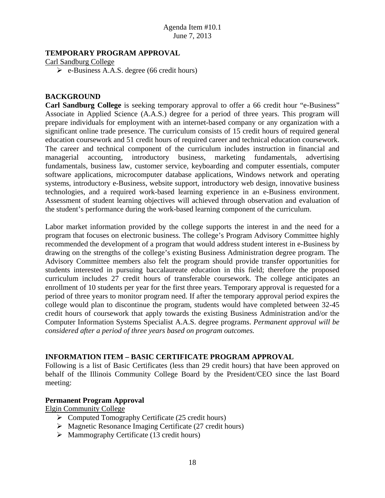## **TEMPORARY PROGRAM APPROVAL**

Carl Sandburg College

 $\triangleright$  e-Business A.A.S. degree (66 credit hours)

### **BACKGROUND**

**Carl Sandburg College** is seeking temporary approval to offer a 66 credit hour "e-Business" Associate in Applied Science (A.A.S.) degree for a period of three years. This program will prepare individuals for employment with an internet-based company or any organization with a significant online trade presence. The curriculum consists of 15 credit hours of required general education coursework and 51 credit hours of required career and technical education coursework. The career and technical component of the curriculum includes instruction in financial and managerial accounting, introductory business, marketing fundamentals, advertising fundamentals, business law, customer service, keyboarding and computer essentials, computer software applications, microcomputer database applications, Windows network and operating systems, introductory e-Business, website support, introductory web design, innovative business technologies, and a required work-based learning experience in an e-Business environment. Assessment of student learning objectives will achieved through observation and evaluation of the student's performance during the work-based learning component of the curriculum.

Labor market information provided by the college supports the interest in and the need for a program that focuses on electronic business. The college's Program Advisory Committee highly recommended the development of a program that would address student interest in e-Business by drawing on the strengths of the college's existing Business Administration degree program. The Advisory Committee members also felt the program should provide transfer opportunities for students interested in pursuing baccalaureate education in this field; therefore the proposed curriculum includes 27 credit hours of transferable coursework. The college anticipates an enrollment of 10 students per year for the first three years. Temporary approval is requested for a period of three years to monitor program need. If after the temporary approval period expires the college would plan to discontinue the program, students would have completed between 32-45 credit hours of coursework that apply towards the existing Business Administration and/or the Computer Information Systems Specialist A.A.S. degree programs. *Permanent approval will be considered after a period of three years based on program outcomes.* 

### **INFORMATION ITEM – BASIC CERTIFICATE PROGRAM APPROVAL**

Following is a list of Basic Certificates (less than 29 credit hours) that have been approved on behalf of the Illinois Community College Board by the President/CEO since the last Board meeting:

### **Permanent Program Approval**

Elgin Community College

- $\triangleright$  Computed Tomography Certificate (25 credit hours)
- $\triangleright$  Magnetic Resonance Imaging Certificate (27 credit hours)
- $\triangleright$  Mammography Certificate (13 credit hours)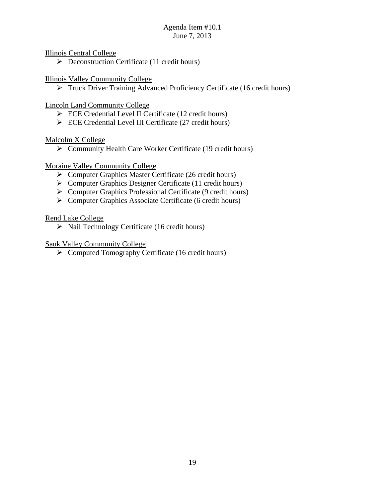Illinois Central College

 $\triangleright$  Deconstruction Certificate (11 credit hours)

# Illinois Valley Community College

▶ Truck Driver Training Advanced Proficiency Certificate (16 credit hours)

# Lincoln Land Community College

- ECE Credential Level II Certificate (12 credit hours)
- $\triangleright$  ECE Credential Level III Certificate (27 credit hours)

# Malcolm X College

Community Health Care Worker Certificate (19 credit hours)

# Moraine Valley Community College

- $\triangleright$  Computer Graphics Master Certificate (26 credit hours)
- $\triangleright$  Computer Graphics Designer Certificate (11 credit hours)
- $\triangleright$  Computer Graphics Professional Certificate (9 credit hours)
- $\triangleright$  Computer Graphics Associate Certificate (6 credit hours)

# Rend Lake College

 $\triangleright$  Nail Technology Certificate (16 credit hours)

# Sauk Valley Community College

 $\triangleright$  Computed Tomography Certificate (16 credit hours)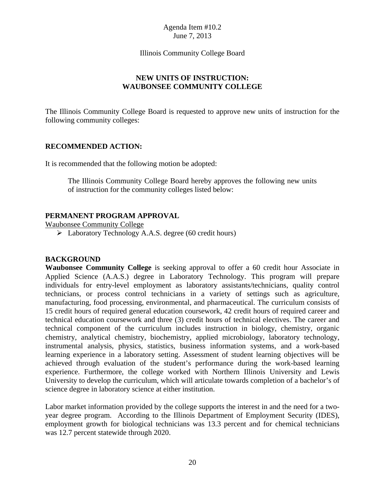#### Illinois Community College Board

## **NEW UNITS OF INSTRUCTION: WAUBONSEE COMMUNITY COLLEGE**

The Illinois Community College Board is requested to approve new units of instruction for the following community colleges:

### **RECOMMENDED ACTION:**

It is recommended that the following motion be adopted:

The Illinois Community College Board hereby approves the following new units of instruction for the community colleges listed below:

### **PERMANENT PROGRAM APPROVAL**

Waubonsee Community College

Laboratory Technology A.A.S. degree (60 credit hours)

### **BACKGROUND**

**Waubonsee Community College** is seeking approval to offer a 60 credit hour Associate in Applied Science (A.A.S.) degree in Laboratory Technology. This program will prepare individuals for entry-level employment as laboratory assistants/technicians, quality control technicians, or process control technicians in a variety of settings such as agriculture, manufacturing, food processing, environmental, and pharmaceutical. The curriculum consists of 15 credit hours of required general education coursework, 42 credit hours of required career and technical education coursework and three (3) credit hours of technical electives. The career and technical component of the curriculum includes instruction in biology, chemistry, organic chemistry, analytical chemistry, biochemistry, applied microbiology, laboratory technology, instrumental analysis, physics, statistics, business information systems, and a work-based learning experience in a laboratory setting. Assessment of student learning objectives will be achieved through evaluation of the student's performance during the work-based learning experience. Furthermore, the college worked with Northern Illinois University and Lewis University to develop the curriculum, which will articulate towards completion of a bachelor's of science degree in laboratory science at either institution.

Labor market information provided by the college supports the interest in and the need for a twoyear degree program. According to the Illinois Department of Employment Security (IDES), employment growth for biological technicians was 13.3 percent and for chemical technicians was 12.7 percent statewide through 2020.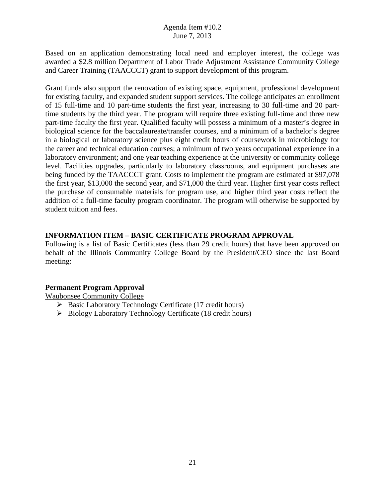Based on an application demonstrating local need and employer interest, the college was awarded a \$2.8 million Department of Labor Trade Adjustment Assistance Community College and Career Training (TAACCCT) grant to support development of this program.

Grant funds also support the renovation of existing space, equipment, professional development for existing faculty, and expanded student support services. The college anticipates an enrollment of 15 full-time and 10 part-time students the first year, increasing to 30 full-time and 20 parttime students by the third year. The program will require three existing full-time and three new part-time faculty the first year. Qualified faculty will possess a minimum of a master's degree in biological science for the baccalaureate/transfer courses, and a minimum of a bachelor's degree in a biological or laboratory science plus eight credit hours of coursework in microbiology for the career and technical education courses; a minimum of two years occupational experience in a laboratory environment; and one year teaching experience at the university or community college level. Facilities upgrades, particularly to laboratory classrooms, and equipment purchases are being funded by the TAACCCT grant. Costs to implement the program are estimated at \$97,078 the first year, \$13,000 the second year, and \$71,000 the third year. Higher first year costs reflect the purchase of consumable materials for program use, and higher third year costs reflect the addition of a full-time faculty program coordinator. The program will otherwise be supported by student tuition and fees.

# **INFORMATION ITEM – BASIC CERTIFICATE PROGRAM APPROVAL**

Following is a list of Basic Certificates (less than 29 credit hours) that have been approved on behalf of the Illinois Community College Board by the President/CEO since the last Board meeting:

# **Permanent Program Approval**

Waubonsee Community College

- $\triangleright$  Basic Laboratory Technology Certificate (17 credit hours)
- $\triangleright$  Biology Laboratory Technology Certificate (18 credit hours)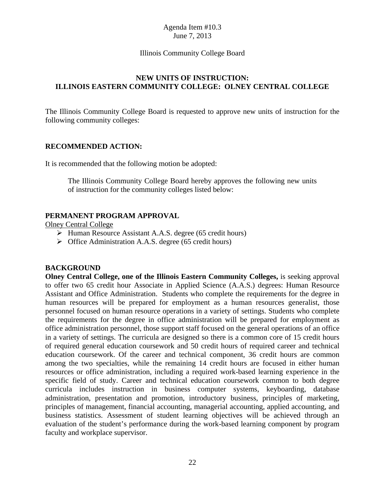### Illinois Community College Board

## **NEW UNITS OF INSTRUCTION: ILLINOIS EASTERN COMMUNITY COLLEGE: OLNEY CENTRAL COLLEGE**

The Illinois Community College Board is requested to approve new units of instruction for the following community colleges:

### **RECOMMENDED ACTION:**

It is recommended that the following motion be adopted:

The Illinois Community College Board hereby approves the following new units of instruction for the community colleges listed below:

## **PERMANENT PROGRAM APPROVAL**

Olney Central College

- $\triangleright$  Human Resource Assistant A.A.S. degree (65 credit hours)
- $\triangleright$  Office Administration A.A.S. degree (65 credit hours)

## **BACKGROUND**

**Olney Central College, one of the Illinois Eastern Community Colleges,** is seeking approval to offer two 65 credit hour Associate in Applied Science (A.A.S.) degrees: Human Resource Assistant and Office Administration. Students who complete the requirements for the degree in human resources will be prepared for employment as a human resources generalist, those personnel focused on human resource operations in a variety of settings. Students who complete the requirements for the degree in office administration will be prepared for employment as office administration personnel, those support staff focused on the general operations of an office in a variety of settings. The curricula are designed so there is a common core of 15 credit hours of required general education coursework and 50 credit hours of required career and technical education coursework. Of the career and technical component, 36 credit hours are common among the two specialties, while the remaining 14 credit hours are focused in either human resources or office administration, including a required work-based learning experience in the specific field of study. Career and technical education coursework common to both degree curricula includes instruction in business computer systems, keyboarding, database administration, presentation and promotion, introductory business, principles of marketing, principles of management, financial accounting, managerial accounting, applied accounting, and business statistics. Assessment of student learning objectives will be achieved through an evaluation of the student's performance during the work-based learning component by program faculty and workplace supervisor.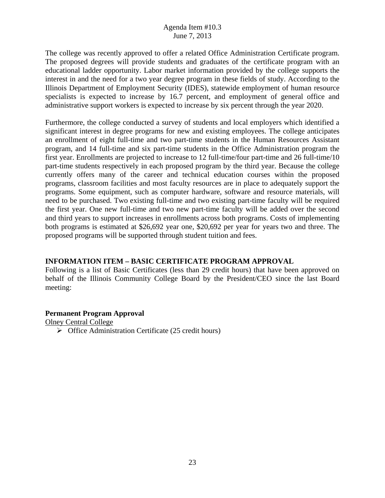The college was recently approved to offer a related Office Administration Certificate program. The proposed degrees will provide students and graduates of the certificate program with an educational ladder opportunity. Labor market information provided by the college supports the interest in and the need for a two year degree program in these fields of study. According to the Illinois Department of Employment Security (IDES), statewide employment of human resource specialists is expected to increase by 16.7 percent, and employment of general office and administrative support workers is expected to increase by six percent through the year 2020.

Furthermore, the college conducted a survey of students and local employers which identified a significant interest in degree programs for new and existing employees. The college anticipates an enrollment of eight full-time and two part-time students in the Human Resources Assistant program, and 14 full-time and six part-time students in the Office Administration program the first year. Enrollments are projected to increase to 12 full-time/four part-time and 26 full-time/10 part-time students respectively in each proposed program by the third year. Because the college currently offers many of the career and technical education courses within the proposed programs, classroom facilities and most faculty resources are in place to adequately support the programs. Some equipment, such as computer hardware, software and resource materials, will need to be purchased. Two existing full-time and two existing part-time faculty will be required the first year. One new full-time and two new part-time faculty will be added over the second and third years to support increases in enrollments across both programs. Costs of implementing both programs is estimated at \$26,692 year one, \$20,692 per year for years two and three. The proposed programs will be supported through student tuition and fees.

## **INFORMATION ITEM – BASIC CERTIFICATE PROGRAM APPROVAL**

Following is a list of Basic Certificates (less than 29 credit hours) that have been approved on behalf of the Illinois Community College Board by the President/CEO since the last Board meeting:

### **Permanent Program Approval**

Olney Central College

 $\triangleright$  Office Administration Certificate (25 credit hours)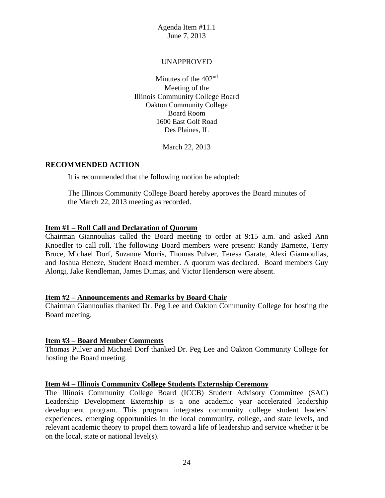### UNAPPROVED

Minutes of the  $402<sup>nd</sup>$ Meeting of the Illinois Community College Board Oakton Community College Board Room 1600 East Golf Road Des Plaines, IL

March 22, 2013

### **RECOMMENDED ACTION**

It is recommended that the following motion be adopted:

The Illinois Community College Board hereby approves the Board minutes of the March 22, 2013 meeting as recorded.

## **Item #1 – Roll Call and Declaration of Quorum**

Chairman Giannoulias called the Board meeting to order at 9:15 a.m. and asked Ann Knoedler to call roll. The following Board members were present: Randy Barnette, Terry Bruce, Michael Dorf, Suzanne Morris, Thomas Pulver, Teresa Garate, Alexi Giannoulias, and Joshua Beneze, Student Board member. A quorum was declared. Board members Guy Alongi, Jake Rendleman, James Dumas, and Victor Henderson were absent.

### **Item #2 – Announcements and Remarks by Board Chair**

Chairman Giannoulias thanked Dr. Peg Lee and Oakton Community College for hosting the Board meeting.

### **Item #3 – Board Member Comments**

Thomas Pulver and Michael Dorf thanked Dr. Peg Lee and Oakton Community College for hosting the Board meeting.

### **Item #4 – Illinois Community College Students Externship Ceremony**

The Illinois Community College Board (ICCB) Student Advisory Committee (SAC) Leadership Development Externship is a one academic year accelerated leadership development program. This program integrates community college student leaders' experiences, emerging opportunities in the local community, college, and state levels, and relevant academic theory to propel them toward a life of leadership and service whether it be on the local, state or national level(s).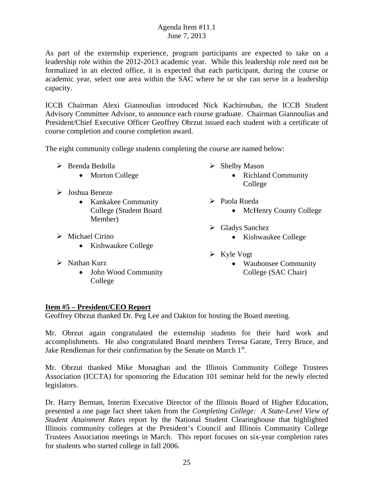As part of the externship experience, program participants are expected to take on a leadership role within the 2012-2013 academic year. While this leadership role need not be formalized in an elected office, it is expected that each participant, during the course or academic year, select one area within the SAC where he or she can serve in a leadership capacity.

ICCB Chairman Alexi Giannoulias introduced Nick Kachiroubas, the ICCB Student Advisory Committee Advisor, to announce each course graduate. Chairman Giannoulias and President/Chief Executive Officer Geoffrey Obrzut issued each student with a certificate of course completion and course completion award.

The eight community college students completing the course are named below:

- $\triangleright$  Brenda Bedolla
	- Morton College
- Joshua Beneze
	- Kankakee Community College (Student Board Member)
- $\triangleright$  Michael Cirino
	- Kishwaukee College
- $\triangleright$  Nathan Kurz
	- John Wood Community College
- $\triangleright$  Shelby Mason
	- Richland Community College
- Paola Rueda
	- McHenry County College
- Gladys Sanchez
	- Kishwaukee College
- $\triangleright$  Kyle Vogt
	- Waubonsee Community College (SAC Chair)

### **Item #5 – President/CEO Report**

Geoffrey Obrzut thanked Dr. Peg Lee and Oakton for hosting the Board meeting.

Mr. Obrzut again congratulated the externship students for their hard work and accomplishments. He also congratulated Board members Teresa Garate, Terry Bruce, and Jake Rendleman for their confirmation by the Senate on March  $1<sup>st</sup>$ .

Mr. Obrzut thanked Mike Monaghan and the Illinois Community College Trustees Association (ICCTA) for sponsoring the Education 101 seminar held for the newly elected legislators.

Dr. Harry Berman, Interim Executive Director of the Illinois Board of Higher Education, presented a one page fact sheet taken from the *Completing College: A State-Level View of Student Attainment Rates* report by the National Student Clearinghouse that highlighted Illinois community colleges at the President's Council and Illinois Community College Trustees Association meetings in March. This report focuses on six-year completion rates for students who started college in fall 2006.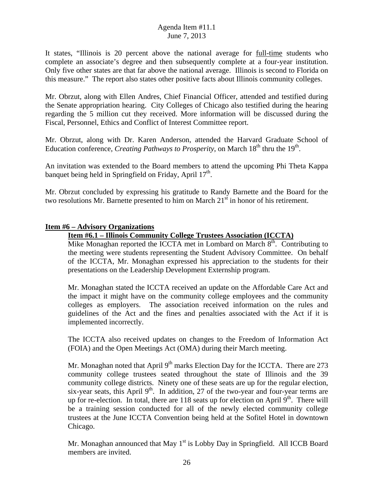It states, "Illinois is 20 percent above the national average for full-time students who complete an associate's degree and then subsequently complete at a four-year institution. Only five other states are that far above the national average. Illinois is second to Florida on this measure." The report also states other positive facts about Illinois community colleges.

Mr. Obrzut, along with Ellen Andres, Chief Financial Officer, attended and testified during the Senate appropriation hearing. City Colleges of Chicago also testified during the hearing regarding the 5 million cut they received. More information will be discussed during the Fiscal, Personnel, Ethics and Conflict of Interest Committee report.

Mr. Obrzut, along with Dr. Karen Anderson, attended the Harvard Graduate School of Education conference, *Creating Pathways to Prosperity*, on March 18<sup>th</sup> thru the 19<sup>th</sup>.

An invitation was extended to the Board members to attend the upcoming Phi Theta Kappa banquet being held in Springfield on Friday, April  $17<sup>th</sup>$ .

Mr. Obrzut concluded by expressing his gratitude to Randy Barnette and the Board for the two resolutions Mr. Barnette presented to him on March  $21<sup>st</sup>$  in honor of his retirement.

## **Item #6 – Advisory Organizations**

## **Item #6.1 – Illinois Community College Trustees Association (ICCTA)**

Mike Monaghan reported the ICCTA met in Lombard on March  $8<sup>th</sup>$ . Contributing to the meeting were students representing the Student Advisory Committee. On behalf of the ICCTA, Mr. Monaghan expressed his appreciation to the students for their presentations on the Leadership Development Externship program.

Mr. Monaghan stated the ICCTA received an update on the Affordable Care Act and the impact it might have on the community college employees and the community colleges as employers. The association received information on the rules and guidelines of the Act and the fines and penalties associated with the Act if it is implemented incorrectly.

The ICCTA also received updates on changes to the Freedom of Information Act (FOIA) and the Open Meetings Act (OMA) during their March meeting.

Mr. Monaghan noted that April  $9<sup>th</sup>$  marks Election Day for the ICCTA. There are 273 community college trustees seated throughout the state of Illinois and the 39 community college districts. Ninety one of these seats are up for the regular election, six-year seats, this April  $9<sup>th</sup>$ . In addition, 27 of the two-year and four-year terms are up for re-election. In total, there are 118 seats up for election on April  $9<sup>th</sup>$ . There will be a training session conducted for all of the newly elected community college trustees at the June ICCTA Convention being held at the Sofitel Hotel in downtown Chicago.

Mr. Monaghan announced that May  $1<sup>st</sup>$  is Lobby Day in Springfield. All ICCB Board members are invited.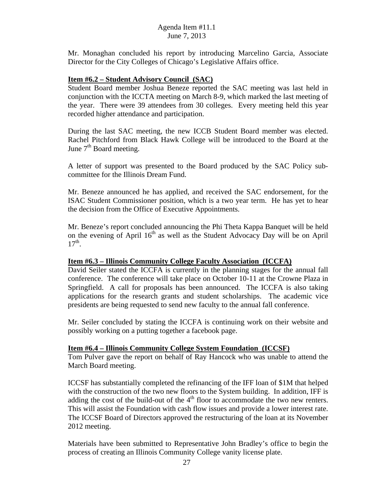Mr. Monaghan concluded his report by introducing Marcelino Garcia, Associate Director for the City Colleges of Chicago's Legislative Affairs office.

## **Item #6.2 – Student Advisory Council (SAC)**

Student Board member Joshua Beneze reported the SAC meeting was last held in conjunction with the ICCTA meeting on March 8-9, which marked the last meeting of the year. There were 39 attendees from 30 colleges. Every meeting held this year recorded higher attendance and participation.

During the last SAC meeting, the new ICCB Student Board member was elected. Rachel Pitchford from Black Hawk College will be introduced to the Board at the June  $7<sup>th</sup>$  Board meeting.

A letter of support was presented to the Board produced by the SAC Policy subcommittee for the Illinois Dream Fund.

Mr. Beneze announced he has applied, and received the SAC endorsement, for the ISAC Student Commissioner position, which is a two year term. He has yet to hear the decision from the Office of Executive Appointments.

Mr. Beneze's report concluded announcing the Phi Theta Kappa Banquet will be held on the evening of April  $16<sup>th</sup>$  as well as the Student Advocacy Day will be on April  $17<sup>th</sup>$ .

### **Item #6.3 – Illinois Community College Faculty Association (ICCFA)**

David Seiler stated the ICCFA is currently in the planning stages for the annual fall conference. The conference will take place on October 10-11 at the Crowne Plaza in Springfield. A call for proposals has been announced. The ICCFA is also taking applications for the research grants and student scholarships. The academic vice presidents are being requested to send new faculty to the annual fall conference.

Mr. Seiler concluded by stating the ICCFA is continuing work on their website and possibly working on a putting together a facebook page.

### **Item #6.4 – Illinois Community College System Foundation (ICCSF)**

Tom Pulver gave the report on behalf of Ray Hancock who was unable to attend the March Board meeting.

ICCSF has substantially completed the refinancing of the IFF loan of \$1M that helped with the construction of the two new floors to the System building. In addition, IFF is adding the cost of the build-out of the  $4<sup>th</sup>$  floor to accommodate the two new renters. This will assist the Foundation with cash flow issues and provide a lower interest rate. The ICCSF Board of Directors approved the restructuring of the loan at its November 2012 meeting.

Materials have been submitted to Representative John Bradley's office to begin the process of creating an Illinois Community College vanity license plate.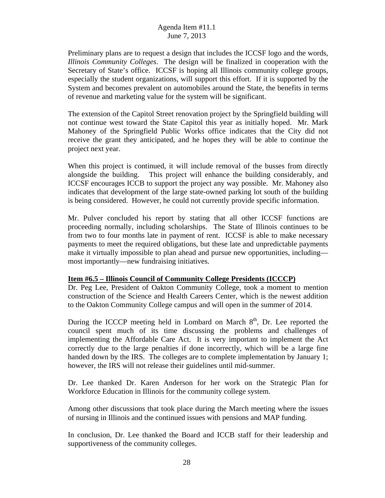Preliminary plans are to request a design that includes the ICCSF logo and the words, *Illinois Community Colleges*. The design will be finalized in cooperation with the Secretary of State's office. ICCSF is hoping all Illinois community college groups, especially the student organizations, will support this effort. If it is supported by the System and becomes prevalent on automobiles around the State, the benefits in terms of revenue and marketing value for the system will be significant.

The extension of the Capitol Street renovation project by the Springfield building will not continue west toward the State Capitol this year as initially hoped. Mr. Mark Mahoney of the Springfield Public Works office indicates that the City did not receive the grant they anticipated, and he hopes they will be able to continue the project next year.

When this project is continued, it will include removal of the busses from directly alongside the building. This project will enhance the building considerably, and ICCSF encourages ICCB to support the project any way possible. Mr. Mahoney also indicates that development of the large state-owned parking lot south of the building is being considered. However, he could not currently provide specific information.

Mr. Pulver concluded his report by stating that all other ICCSF functions are proceeding normally, including scholarships. The State of Illinois continues to be from two to four months late in payment of rent. ICCSF is able to make necessary payments to meet the required obligations, but these late and unpredictable payments make it virtually impossible to plan ahead and pursue new opportunities, including most importantly—new fundraising initiatives.

### **Item #6.5 – Illinois Council of Community College Presidents (ICCCP)**

Dr. Peg Lee, President of Oakton Community College, took a moment to mention construction of the Science and Health Careers Center, which is the newest addition to the Oakton Community College campus and will open in the summer of 2014.

During the ICCCP meeting held in Lombard on March  $8<sup>th</sup>$ , Dr. Lee reported the council spent much of its time discussing the problems and challenges of implementing the Affordable Care Act. It is very important to implement the Act correctly due to the large penalties if done incorrectly, which will be a large fine handed down by the IRS. The colleges are to complete implementation by January 1; however, the IRS will not release their guidelines until mid-summer.

Dr. Lee thanked Dr. Karen Anderson for her work on the Strategic Plan for Workforce Education in Illinois for the community college system.

Among other discussions that took place during the March meeting where the issues of nursing in Illinois and the continued issues with pensions and MAP funding.

In conclusion, Dr. Lee thanked the Board and ICCB staff for their leadership and supportiveness of the community colleges.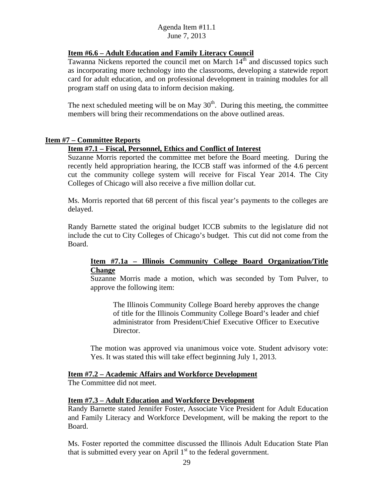## **Item #6.6 – Adult Education and Family Literacy Council**

Tawanna Nickens reported the council met on March 14<sup>th</sup> and discussed topics such as incorporating more technology into the classrooms, developing a statewide report card for adult education, and on professional development in training modules for all program staff on using data to inform decision making.

The next scheduled meeting will be on May  $30<sup>th</sup>$ . During this meeting, the committee members will bring their recommendations on the above outlined areas.

### **Item #7 – Committee Reports**

### **Item #7.1 – Fiscal, Personnel, Ethics and Conflict of Interest**

Suzanne Morris reported the committee met before the Board meeting. During the recently held appropriation hearing, the ICCB staff was informed of the 4.6 percent cut the community college system will receive for Fiscal Year 2014. The City Colleges of Chicago will also receive a five million dollar cut.

Ms. Morris reported that 68 percent of this fiscal year's payments to the colleges are delayed.

Randy Barnette stated the original budget ICCB submits to the legislature did not include the cut to City Colleges of Chicago's budget. This cut did not come from the Board.

### **Item #7.1a – Illinois Community College Board Organization/Title Change**

Suzanne Morris made a motion, which was seconded by Tom Pulver, to approve the following item:

The Illinois Community College Board hereby approves the change of title for the Illinois Community College Board's leader and chief administrator from President/Chief Executive Officer to Executive Director.

The motion was approved via unanimous voice vote. Student advisory vote: Yes. It was stated this will take effect beginning July 1, 2013.

#### **Item #7.2 – Academic Affairs and Workforce Development**

The Committee did not meet.

#### **Item #7.3 – Adult Education and Workforce Development**

Randy Barnette stated Jennifer Foster, Associate Vice President for Adult Education and Family Literacy and Workforce Development, will be making the report to the Board.

Ms. Foster reported the committee discussed the Illinois Adult Education State Plan that is submitted every year on April  $1<sup>st</sup>$  to the federal government.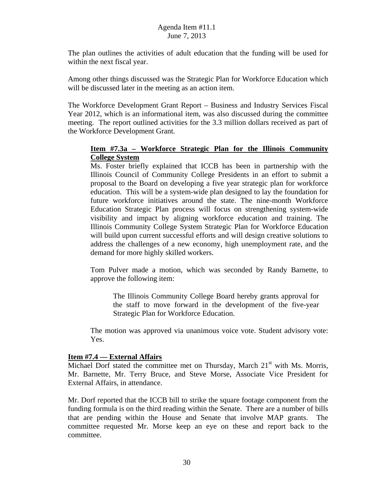The plan outlines the activities of adult education that the funding will be used for within the next fiscal year.

Among other things discussed was the Strategic Plan for Workforce Education which will be discussed later in the meeting as an action item.

The Workforce Development Grant Report – Business and Industry Services Fiscal Year 2012, which is an informational item, was also discussed during the committee meeting. The report outlined activities for the 3.3 million dollars received as part of the Workforce Development Grant.

## **Item #7.3a – Workforce Strategic Plan for the Illinois Community College System**

Ms. Foster briefly explained that ICCB has been in partnership with the Illinois Council of Community College Presidents in an effort to submit a proposal to the Board on developing a five year strategic plan for workforce education. This will be a system-wide plan designed to lay the foundation for future workforce initiatives around the state. The nine-month Workforce Education Strategic Plan process will focus on strengthening system-wide visibility and impact by aligning workforce education and training. The Illinois Community College System Strategic Plan for Workforce Education will build upon current successful efforts and will design creative solutions to address the challenges of a new economy, high unemployment rate, and the demand for more highly skilled workers.

Tom Pulver made a motion, which was seconded by Randy Barnette, to approve the following item:

The Illinois Community College Board hereby grants approval for the staff to move forward in the development of the five-year Strategic Plan for Workforce Education.

The motion was approved via unanimous voice vote. Student advisory vote: Yes.

### **Item #7.4 –– External Affairs**

Michael Dorf stated the committee met on Thursday, March  $21<sup>st</sup>$  with Ms. Morris, Mr. Barnette, Mr. Terry Bruce, and Steve Morse, Associate Vice President for External Affairs, in attendance.

Mr. Dorf reported that the ICCB bill to strike the square footage component from the funding formula is on the third reading within the Senate. There are a number of bills that are pending within the House and Senate that involve MAP grants. The committee requested Mr. Morse keep an eye on these and report back to the committee.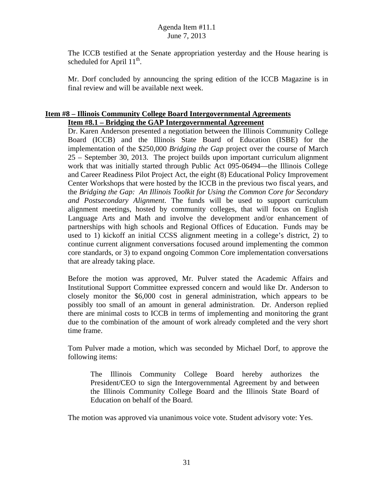The ICCB testified at the Senate appropriation yesterday and the House hearing is scheduled for April  $11^{th}$ .

Mr. Dorf concluded by announcing the spring edition of the ICCB Magazine is in final review and will be available next week.

#### **Item #8 – Illinois Community College Board Intergovernmental Agreements Item #8.1 – Bridging the GAP Intergovernmental Agreement**

Dr. Karen Anderson presented a negotiation between the Illinois Community College Board (ICCB) and the Illinois State Board of Education (ISBE) for the implementation of the \$250,000 *Bridging the Gap* project over the course of March 25 – September 30, 2013. The project builds upon important curriculum alignment work that was initially started through Public Act 095-06494—the Illinois College and Career Readiness Pilot Project Act, the eight (8) Educational Policy Improvement Center Workshops that were hosted by the ICCB in the previous two fiscal years, and the *Bridging the Gap: An Illinois Toolkit for Using the Common Core for Secondary and Postsecondary Alignment*. The funds will be used to support curriculum alignment meetings, hosted by community colleges, that will focus on English Language Arts and Math and involve the development and/or enhancement of partnerships with high schools and Regional Offices of Education. Funds may be used to 1) kickoff an initial CCSS alignment meeting in a college's district, 2) to continue current alignment conversations focused around implementing the common core standards, or 3) to expand ongoing Common Core implementation conversations that are already taking place.

Before the motion was approved, Mr. Pulver stated the Academic Affairs and Institutional Support Committee expressed concern and would like Dr. Anderson to closely monitor the \$6,000 cost in general administration, which appears to be possibly too small of an amount in general administration. Dr. Anderson replied there are minimal costs to ICCB in terms of implementing and monitoring the grant due to the combination of the amount of work already completed and the very short time frame.

Tom Pulver made a motion, which was seconded by Michael Dorf, to approve the following items:

The Illinois Community College Board hereby authorizes the President/CEO to sign the Intergovernmental Agreement by and between the Illinois Community College Board and the Illinois State Board of Education on behalf of the Board.

The motion was approved via unanimous voice vote. Student advisory vote: Yes.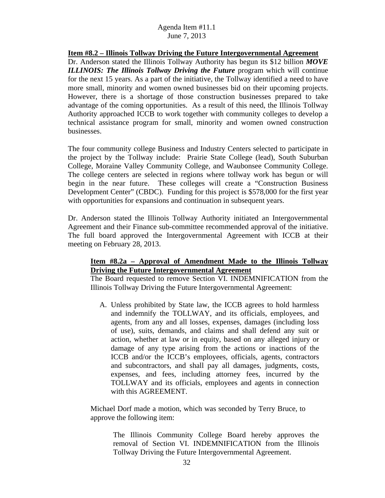**Item #8.2 – Illinois Tollway Driving the Future Intergovernmental Agreement**  Dr. Anderson stated the Illinois Tollway Authority has begun its \$12 billion *MOVE ILLINOIS: The Illinois Tollway Driving the Future* program which will continue for the next 15 years. As a part of the initiative, the Tollway identified a need to have more small, minority and women owned businesses bid on their upcoming projects. However, there is a shortage of those construction businesses prepared to take advantage of the coming opportunities. As a result of this need, the Illinois Tollway Authority approached ICCB to work together with community colleges to develop a technical assistance program for small, minority and women owned construction businesses.

The four community college Business and Industry Centers selected to participate in the project by the Tollway include: Prairie State College (lead), South Suburban College, Moraine Valley Community College, and Waubonsee Community College. The college centers are selected in regions where tollway work has begun or will begin in the near future. These colleges will create a "Construction Business Development Center" (CBDC). Funding for this project is \$578,000 for the first year with opportunities for expansions and continuation in subsequent years.

Dr. Anderson stated the Illinois Tollway Authority initiated an Intergovernmental Agreement and their Finance sub-committee recommended approval of the initiative. The full board approved the Intergovernmental Agreement with ICCB at their meeting on February 28, 2013.

## **Item #8.2a – Approval of Amendment Made to the Illinois Tollway Driving the Future Intergovernmental Agreement**

The Board requested to remove Section VI. INDEMNIFICATION from the Illinois Tollway Driving the Future Intergovernmental Agreement:

A. Unless prohibited by State law, the ICCB agrees to hold harmless and indemnify the TOLLWAY, and its officials, employees, and agents, from any and all losses, expenses, damages (including loss of use), suits, demands, and claims and shall defend any suit or action, whether at law or in equity, based on any alleged injury or damage of any type arising from the actions or inactions of the ICCB and/or the ICCB's employees, officials, agents, contractors and subcontractors, and shall pay all damages, judgments, costs, expenses, and fees, including attorney fees, incurred by the TOLLWAY and its officials, employees and agents in connection with this AGREEMENT.

Michael Dorf made a motion, which was seconded by Terry Bruce, to approve the following item:

The Illinois Community College Board hereby approves the removal of Section VI. INDEMNIFICATION from the Illinois Tollway Driving the Future Intergovernmental Agreement.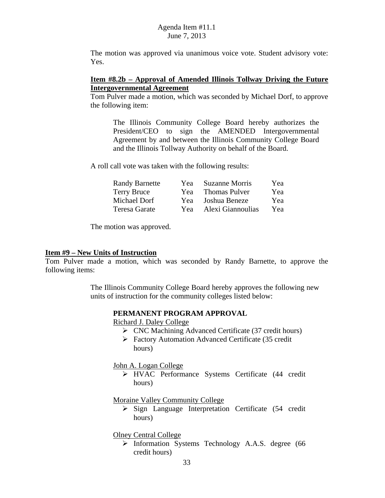The motion was approved via unanimous voice vote. Student advisory vote: Yes.

## **Item #8.2b – Approval of Amended Illinois Tollway Driving the Future Intergovernmental Agreement**

Tom Pulver made a motion, which was seconded by Michael Dorf, to approve the following item:

The Illinois Community College Board hereby authorizes the President/CEO to sign the AMENDED Intergovernmental Agreement by and between the Illinois Community College Board and the Illinois Tollway Authority on behalf of the Board.

A roll call vote was taken with the following results:

| <b>Randy Barnette</b> | Yea | <b>Suzanne Morris</b> | Yea |
|-----------------------|-----|-----------------------|-----|
| <b>Terry Bruce</b>    | Yea | <b>Thomas Pulver</b>  | Yea |
| Michael Dorf          | Yea | Joshua Beneze         | Yea |
| Teresa Garate         | Yea | Alexi Giannoulias     | Yea |

The motion was approved.

#### **Item #9 – New Units of Instruction**

Tom Pulver made a motion, which was seconded by Randy Barnette, to approve the following items:

> The Illinois Community College Board hereby approves the following new units of instruction for the community colleges listed below:

#### **PERMANENT PROGRAM APPROVAL**

Richard J. Daley College

- CNC Machining Advanced Certificate (37 credit hours)
- Factory Automation Advanced Certificate (35 credit hours)

John A. Logan College

 HVAC Performance Systems Certificate (44 credit hours)

Moraine Valley Community College

 $\triangleright$  Sign Language Interpretation Certificate (54 credit hours)

Olney Central College

> Information Systems Technology A.A.S. degree (66 credit hours)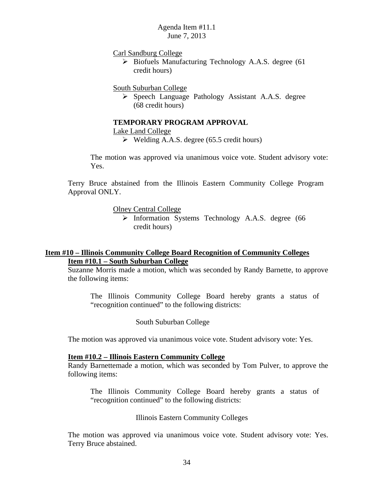Carl Sandburg College

 $\triangleright$  Biofuels Manufacturing Technology A.A.S. degree (61) credit hours)

South Suburban College

 $\triangleright$  Speech Language Pathology Assistant A.A.S. degree (68 credit hours)

### **TEMPORARY PROGRAM APPROVAL**

Lake Land College

 $\triangleright$  Welding A.A.S. degree (65.5 credit hours)

The motion was approved via unanimous voice vote. Student advisory vote: Yes.

Terry Bruce abstained from the Illinois Eastern Community College Program Approval ONLY.

Olney Central College

> Information Systems Technology A.A.S. degree (66) credit hours)

## **Item #10 – Illinois Community College Board Recognition of Community Colleges Item #10.1 – South Suburban College**

Suzanne Morris made a motion, which was seconded by Randy Barnette, to approve the following items:

The Illinois Community College Board hereby grants a status of "recognition continued" to the following districts:

South Suburban College

The motion was approved via unanimous voice vote. Student advisory vote: Yes.

#### **Item #10.2 – Illinois Eastern Community College**

Randy Barnettemade a motion, which was seconded by Tom Pulver, to approve the following items:

The Illinois Community College Board hereby grants a status of "recognition continued" to the following districts:

#### Illinois Eastern Community Colleges

The motion was approved via unanimous voice vote. Student advisory vote: Yes. Terry Bruce abstained.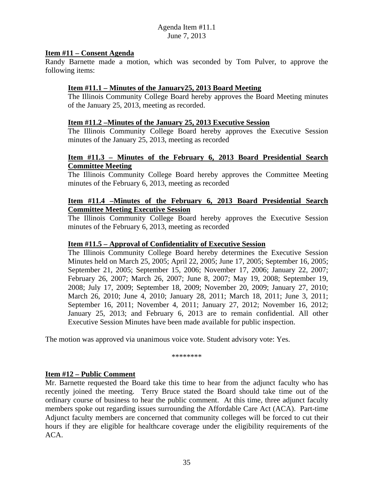## **Item #11 – Consent Agenda**

Randy Barnette made a motion, which was seconded by Tom Pulver, to approve the following items:

## **Item #11.1 – Minutes of the January25, 2013 Board Meeting**

The Illinois Community College Board hereby approves the Board Meeting minutes of the January 25, 2013, meeting as recorded.

## **Item #11.2 –Minutes of the January 25, 2013 Executive Session**

The Illinois Community College Board hereby approves the Executive Session minutes of the January 25, 2013, meeting as recorded

## **Item #11.3 – Minutes of the February 6, 2013 Board Presidential Search Committee Meeting**

The Illinois Community College Board hereby approves the Committee Meeting minutes of the February 6, 2013, meeting as recorded

### **Item #11.4 –Minutes of the February 6, 2013 Board Presidential Search Committee Meeting Executive Session**

The Illinois Community College Board hereby approves the Executive Session minutes of the February 6, 2013, meeting as recorded

### **Item #11.5 – Approval of Confidentiality of Executive Session**

The Illinois Community College Board hereby determines the Executive Session Minutes held on March 25, 2005; April 22, 2005; June 17, 2005; September 16, 2005; September 21, 2005; September 15, 2006; November 17, 2006; January 22, 2007; February 26, 2007; March 26, 2007; June 8, 2007; May 19, 2008; September 19, 2008; July 17, 2009; September 18, 2009; November 20, 2009; January 27, 2010; March 26, 2010; June 4, 2010; January 28, 2011; March 18, 2011; June 3, 2011; September 16, 2011; November 4, 2011; January 27, 2012; November 16, 2012; January 25, 2013; and February 6, 2013 are to remain confidential. All other Executive Session Minutes have been made available for public inspection.

The motion was approved via unanimous voice vote. Student advisory vote: Yes.

\*\*\*\*\*\*\*\*

### **Item #12 – Public Comment**

Mr. Barnette requested the Board take this time to hear from the adjunct faculty who has recently joined the meeting. Terry Bruce stated the Board should take time out of the ordinary course of business to hear the public comment. At this time, three adjunct faculty members spoke out regarding issues surrounding the Affordable Care Act (ACA). Part-time Adjunct faculty members are concerned that community colleges will be forced to cut their hours if they are eligible for healthcare coverage under the eligibility requirements of the ACA.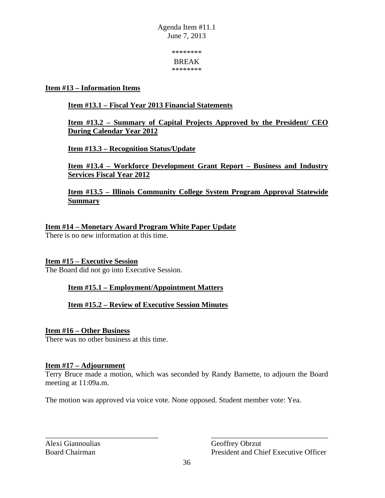> \*\*\*\*\*\*\*\* BREAK

\*\*\*\*\*\*\*\*

## **Item #13 – Information Items**

# **Item #13.1 – Fiscal Year 2013 Financial Statements**

# **Item #13.2 – Summary of Capital Projects Approved by the President/ CEO During Calendar Year 2012**

**Item #13.3 – Recognition Status/Update** 

**Item #13.4 – Workforce Development Grant Report – Business and Industry Services Fiscal Year 2012** 

# **Item #13.5 – Illinois Community College System Program Approval Statewide Summary**

# **Item #14 – Monetary Award Program White Paper Update**

There is no new information at this time.

## **Item #15 – Executive Session**

The Board did not go into Executive Session.

## **Item #15.1 – Employment/Appointment Matters**

**Item #15.2 – Review of Executive Session Minutes** 

## **Item #16 – Other Business**

There was no other business at this time.

## **Item #17 – Adjournment**

Terry Bruce made a motion, which was seconded by Randy Barnette, to adjourn the Board meeting at 11:09a.m.

The motion was approved via voice vote. None opposed. Student member vote: Yea.

Alexi Giannoulias Geoffrey Obrzut

Board Chairman President and Chief Executive Officer

\_\_\_\_\_\_\_\_\_\_\_\_\_\_\_\_\_\_\_\_\_\_\_\_\_\_\_\_\_\_ \_\_\_\_\_\_\_\_\_\_\_\_\_\_\_\_\_\_\_\_\_\_\_\_\_\_\_\_\_\_\_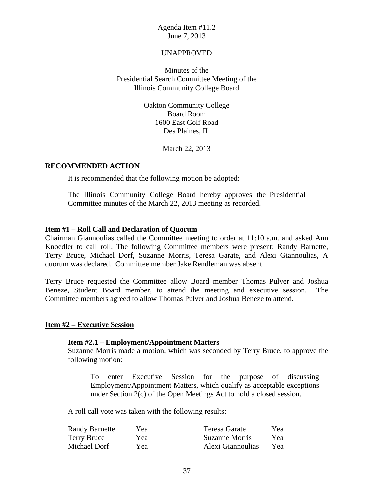#### UNAPPROVED

Minutes of the Presidential Search Committee Meeting of the Illinois Community College Board

> Oakton Community College Board Room 1600 East Golf Road Des Plaines, IL

> > March 22, 2013

#### **RECOMMENDED ACTION**

It is recommended that the following motion be adopted:

The Illinois Community College Board hereby approves the Presidential Committee minutes of the March 22, 2013 meeting as recorded.

#### **Item #1 – Roll Call and Declaration of Quorum**

Chairman Giannoulias called the Committee meeting to order at 11:10 a.m. and asked Ann Knoedler to call roll. The following Committee members were present: Randy Barnette, Terry Bruce, Michael Dorf, Suzanne Morris, Teresa Garate, and Alexi Giannoulias, A quorum was declared. Committee member Jake Rendleman was absent.

Terry Bruce requested the Committee allow Board member Thomas Pulver and Joshua Beneze, Student Board member, to attend the meeting and executive session. The Committee members agreed to allow Thomas Pulver and Joshua Beneze to attend.

#### **Item #2 – Executive Session**

### **Item #2.1 – Employment/Appointment Matters**

Suzanne Morris made a motion, which was seconded by Terry Bruce, to approve the following motion:

To enter Executive Session for the purpose of discussing Employment/Appointment Matters, which qualify as acceptable exceptions under Section 2(c) of the Open Meetings Act to hold a closed session.

A roll call vote was taken with the following results:

| <b>Randy Barnette</b> | Yea | Teresa Garate     | Yea |
|-----------------------|-----|-------------------|-----|
| Terry Bruce           | Yea | Suzanne Morris    | Yea |
| Michael Dorf          | Yea | Alexi Giannoulias | Yea |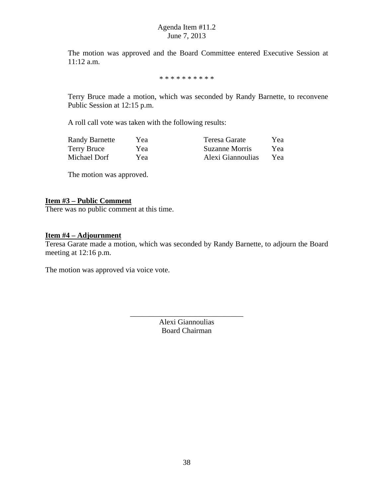The motion was approved and the Board Committee entered Executive Session at 11:12 a.m.

\* \* \* \* \* \* \* \* \* \*

Terry Bruce made a motion, which was seconded by Randy Barnette, to reconvene Public Session at 12:15 p.m.

A roll call vote was taken with the following results:

| <b>Randy Barnette</b> | Yea | Teresa Garate     | Yea |
|-----------------------|-----|-------------------|-----|
| <b>Terry Bruce</b>    | Yea | Suzanne Morris    | Yea |
| Michael Dorf          | Yea | Alexi Giannoulias | Yea |

The motion was approved.

### **Item #3 – Public Comment**

There was no public comment at this time.

# **Item #4 – Adjournment**

Teresa Garate made a motion, which was seconded by Randy Barnette, to adjourn the Board meeting at 12:16 p.m.

The motion was approved via voice vote.

Alexi Giannoulias Board Chairman

\_\_\_\_\_\_\_\_\_\_\_\_\_\_\_\_\_\_\_\_\_\_\_\_\_\_\_\_\_\_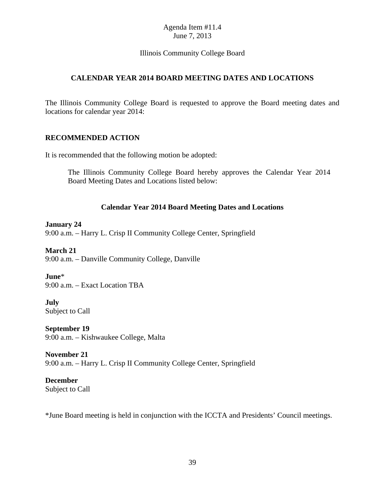## Illinois Community College Board

## **CALENDAR YEAR 2014 BOARD MEETING DATES AND LOCATIONS**

The Illinois Community College Board is requested to approve the Board meeting dates and locations for calendar year 2014:

#### **RECOMMENDED ACTION**

It is recommended that the following motion be adopted:

The Illinois Community College Board hereby approves the Calendar Year 2014 Board Meeting Dates and Locations listed below:

### **Calendar Year 2014 Board Meeting Dates and Locations**

### **January 24**

9:00 a.m. – Harry L. Crisp II Community College Center, Springfield

### **March 21**

9:00 a.m. – Danville Community College, Danville

### **June**\*

9:00 a.m. – Exact Location TBA

#### **July**  Subject to Call

**September 19**  9:00 a.m. – Kishwaukee College, Malta

**November 21**  9:00 a.m. – Harry L. Crisp II Community College Center, Springfield

**December**  Subject to Call

\*June Board meeting is held in conjunction with the ICCTA and Presidents' Council meetings.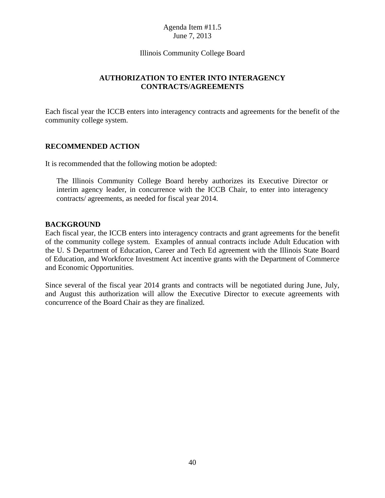#### Illinois Community College Board

## **AUTHORIZATION TO ENTER INTO INTERAGENCY CONTRACTS/AGREEMENTS**

Each fiscal year the ICCB enters into interagency contracts and agreements for the benefit of the community college system.

### **RECOMMENDED ACTION**

It is recommended that the following motion be adopted:

The Illinois Community College Board hereby authorizes its Executive Director or interim agency leader, in concurrence with the ICCB Chair, to enter into interagency contracts/ agreements, as needed for fiscal year 2014.

#### **BACKGROUND**

Each fiscal year, the ICCB enters into interagency contracts and grant agreements for the benefit of the community college system. Examples of annual contracts include Adult Education with the U. S Department of Education, Career and Tech Ed agreement with the Illinois State Board of Education, and Workforce Investment Act incentive grants with the Department of Commerce and Economic Opportunities.

Since several of the fiscal year 2014 grants and contracts will be negotiated during June, July, and August this authorization will allow the Executive Director to execute agreements with concurrence of the Board Chair as they are finalized.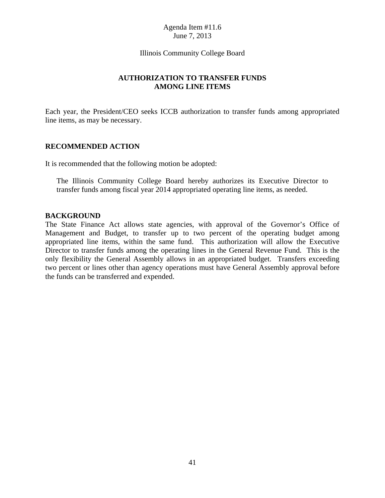#### Illinois Community College Board

## **AUTHORIZATION TO TRANSFER FUNDS AMONG LINE ITEMS**

Each year, the President/CEO seeks ICCB authorization to transfer funds among appropriated line items, as may be necessary.

### **RECOMMENDED ACTION**

It is recommended that the following motion be adopted:

The Illinois Community College Board hereby authorizes its Executive Director to transfer funds among fiscal year 2014 appropriated operating line items, as needed.

#### **BACKGROUND**

The State Finance Act allows state agencies, with approval of the Governor's Office of Management and Budget, to transfer up to two percent of the operating budget among appropriated line items, within the same fund. This authorization will allow the Executive Director to transfer funds among the operating lines in the General Revenue Fund. This is the only flexibility the General Assembly allows in an appropriated budget. Transfers exceeding two percent or lines other than agency operations must have General Assembly approval before the funds can be transferred and expended.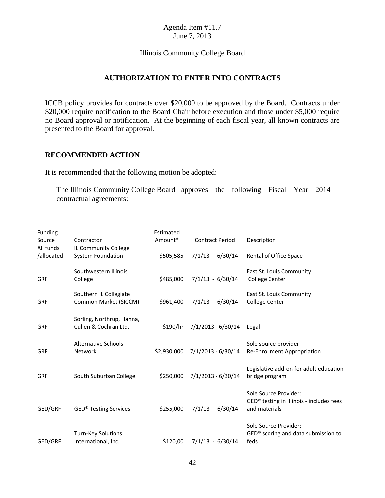#### Illinois Community College Board

## **AUTHORIZATION TO ENTER INTO CONTRACTS**

ICCB policy provides for contracts over \$20,000 to be approved by the Board. Contracts under \$20,000 require notification to the Board Chair before execution and those under \$5,000 require no Board approval or notification. At the beginning of each fiscal year, all known contracts are presented to the Board for approval.

#### **RECOMMENDED ACTION**

It is recommended that the following motion be adopted:

The Illinois Community College Board approves the following Fiscal Year 2014 contractual agreements:

| <b>Funding</b> |                              | Estimated   |                        |                                                           |
|----------------|------------------------------|-------------|------------------------|-----------------------------------------------------------|
| Source         | Contractor                   | Amount*     | <b>Contract Period</b> | Description                                               |
| All funds      | IL Community College         |             |                        |                                                           |
| /allocated     | <b>System Foundation</b>     | \$505,585   | $7/1/13 - 6/30/14$     | Rental of Office Space                                    |
|                |                              |             |                        |                                                           |
|                | Southwestern Illinois        |             |                        | East St. Louis Community                                  |
| <b>GRF</b>     | College                      | \$485,000   | $7/1/13 - 6/30/14$     | <b>College Center</b>                                     |
|                |                              |             |                        |                                                           |
|                | Southern IL Collegiate       |             |                        | East St. Louis Community                                  |
| <b>GRF</b>     | Common Market (SICCM)        | \$961,400   | $7/1/13 - 6/30/14$     | <b>College Center</b>                                     |
|                |                              |             |                        |                                                           |
|                | Sorling, Northrup, Hanna,    |             |                        |                                                           |
| <b>GRF</b>     | Cullen & Cochran Ltd.        | \$190/hr    | $7/1/2013 - 6/30/14$   | Legal                                                     |
|                |                              |             |                        |                                                           |
|                | <b>Alternative Schools</b>   |             |                        | Sole source provider:                                     |
| <b>GRF</b>     | <b>Network</b>               | \$2,930,000 | $7/1/2013 - 6/30/14$   | Re-Enrollment Appropriation                               |
|                |                              |             |                        |                                                           |
|                |                              |             |                        | Legislative add-on for adult education                    |
| GRF            | South Suburban College       | \$250,000   | 7/1/2013 - 6/30/14     | bridge program                                            |
|                |                              |             |                        |                                                           |
|                |                              |             |                        |                                                           |
|                |                              |             |                        | Sole Source Provider:                                     |
|                |                              |             |                        | GED® testing in Illinois - includes fees<br>and materials |
| GED/GRF        | <b>GED® Testing Services</b> | \$255,000   | $7/1/13 - 6/30/14$     |                                                           |
|                |                              |             |                        |                                                           |
|                |                              |             |                        | Sole Source Provider:                                     |
|                | Turn-Key Solutions           |             |                        | GED <sup>®</sup> scoring and data submission to           |
| GED/GRF        | International, Inc.          | \$120,00    | $7/1/13 - 6/30/14$     | feds                                                      |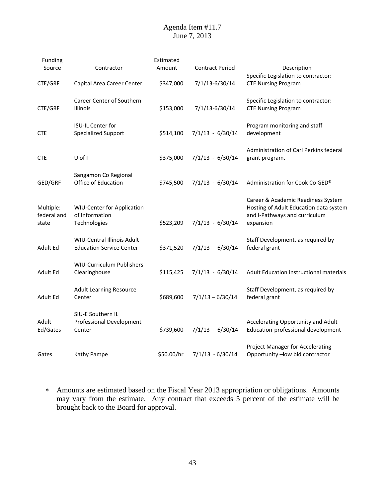| Funding                           |                                                                      | Estimated  |                        |                                                                                                                            |
|-----------------------------------|----------------------------------------------------------------------|------------|------------------------|----------------------------------------------------------------------------------------------------------------------------|
| Source                            | Contractor                                                           | Amount     | <b>Contract Period</b> | Description                                                                                                                |
| CTE/GRF                           | Capital Area Career Center                                           | \$347,000  | 7/1/13-6/30/14         | Specific Legislation to contractor:<br><b>CTE Nursing Program</b>                                                          |
| CTE/GRF                           | <b>Career Center of Southern</b><br><b>Illinois</b>                  | \$153,000  | 7/1/13-6/30/14         | Specific Legislation to contractor:<br><b>CTE Nursing Program</b>                                                          |
| <b>CTE</b>                        | <b>ISU-IL Center for</b><br><b>Specialized Support</b>               | \$514,100  | $7/1/13 - 6/30/14$     | Program monitoring and staff<br>development                                                                                |
| <b>CTE</b>                        | U of I                                                               | \$375,000  | $7/1/13 - 6/30/14$     | Administration of Carl Perkins federal<br>grant program.                                                                   |
| GED/GRF                           | Sangamon Co Regional<br>Office of Education                          | \$745,500  | $7/1/13 - 6/30/14$     | Administration for Cook Co GED®                                                                                            |
| Multiple:<br>federal and<br>state | <b>WIU-Center for Application</b><br>of Information<br>Technologies  | \$523,209  | $7/1/13 - 6/30/14$     | Career & Academic Readiness System<br>Hosting of Adult Education data system<br>and I-Pathways and curriculum<br>expansion |
| Adult Ed                          | <b>WIU-Central Illinois Adult</b><br><b>Education Service Center</b> | \$371,520  | $7/1/13 - 6/30/14$     | Staff Development, as required by<br>federal grant                                                                         |
| Adult Ed                          | <b>WIU-Curriculum Publishers</b><br>Clearinghouse                    | \$115,425  | $7/1/13 - 6/30/14$     | Adult Education instructional materials                                                                                    |
| Adult Ed                          | <b>Adult Learning Resource</b><br>Center                             | \$689,600  | $7/1/13 - 6/30/14$     | Staff Development, as required by<br>federal grant                                                                         |
| Adult<br>Ed/Gates                 | SIU-E Southern IL<br><b>Professional Development</b><br>Center       | \$739,600  | $7/1/13 - 6/30/14$     | Accelerating Opportunity and Adult<br>Education-professional development                                                   |
| Gates                             | Kathy Pampe                                                          | \$50.00/hr | $7/1/13 - 6/30/14$     | <b>Project Manager for Accelerating</b><br>Opportunity -low bid contractor                                                 |

 Amounts are estimated based on the Fiscal Year 2013 appropriation or obligations. Amounts may vary from the estimate. Any contract that exceeds 5 percent of the estimate will be brought back to the Board for approval.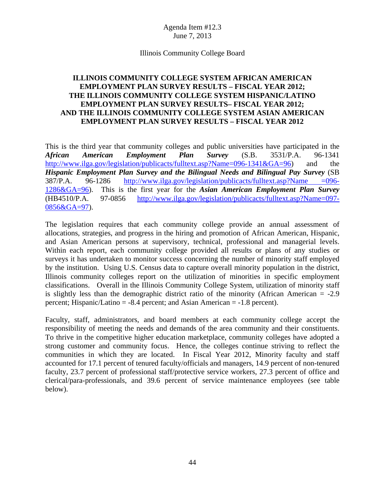#### Illinois Community College Board

## **ILLINOIS COMMUNITY COLLEGE SYSTEM AFRICAN AMERICAN EMPLOYMENT PLAN SURVEY RESULTS – FISCAL YEAR 2012; THE ILLINOIS COMMUNITY COLLEGE SYSTEM HISPANIC/LATINO EMPLOYMENT PLAN SURVEY RESULTS– FISCAL YEAR 2012; AND THE ILLINOIS COMMUNITY COLLEGE SYSTEM ASIAN AMERICAN EMPLOYMENT PLAN SURVEY RESULTS – FISCAL YEAR 2012**

This is the third year that community colleges and public universities have participated in the *African American Employment Plan Survey* (S.B. 3531/P.A. 96-1341 http://www.ilga.gov/legislation/publicacts/fulltext.asp?Name=096-1341&GA=96) and the *Hispanic Employment Plan Survey and the Bilingual Needs and Bilingual Pay Survey* (SB 387/P.A. 96-1286 http://www.ilga.gov/legislation/publicacts/fulltext.asp?Name =096- 1286&GA=96). This is the first year for the *Asian American Employment Plan Survey* (HB4510/P.A. 97-0856 http://www.ilga.gov/legislation/publicacts/fulltext.asp?Name=097- 0856&GA=97).

The legislation requires that each community college provide an annual assessment of allocations, strategies, and progress in the hiring and promotion of African American, Hispanic, and Asian American persons at supervisory, technical, professional and managerial levels. Within each report, each community college provided all results or plans of any studies or surveys it has undertaken to monitor success concerning the number of minority staff employed by the institution. Using U.S. Census data to capture overall minority population in the district, Illinois community colleges report on the utilization of minorities in specific employment classifications. Overall in the Illinois Community College System, utilization of minority staff is slightly less than the demographic district ratio of the minority (African American  $= -2.9$ ) percent; Hispanic/Latino = -8.4 percent; and Asian American = -1.8 percent).

Faculty, staff, administrators, and board members at each community college accept the responsibility of meeting the needs and demands of the area community and their constituents. To thrive in the competitive higher education marketplace, community colleges have adopted a strong customer and community focus. Hence, the colleges continue striving to reflect the communities in which they are located. In Fiscal Year 2012, Minority faculty and staff accounted for 17.1 percent of tenured faculty/officials and managers, 14.9 percent of non-tenured faculty, 23.7 percent of professional staff/protective service workers, 27.3 percent of office and clerical/para-professionals, and 39.6 percent of service maintenance employees (see table below).